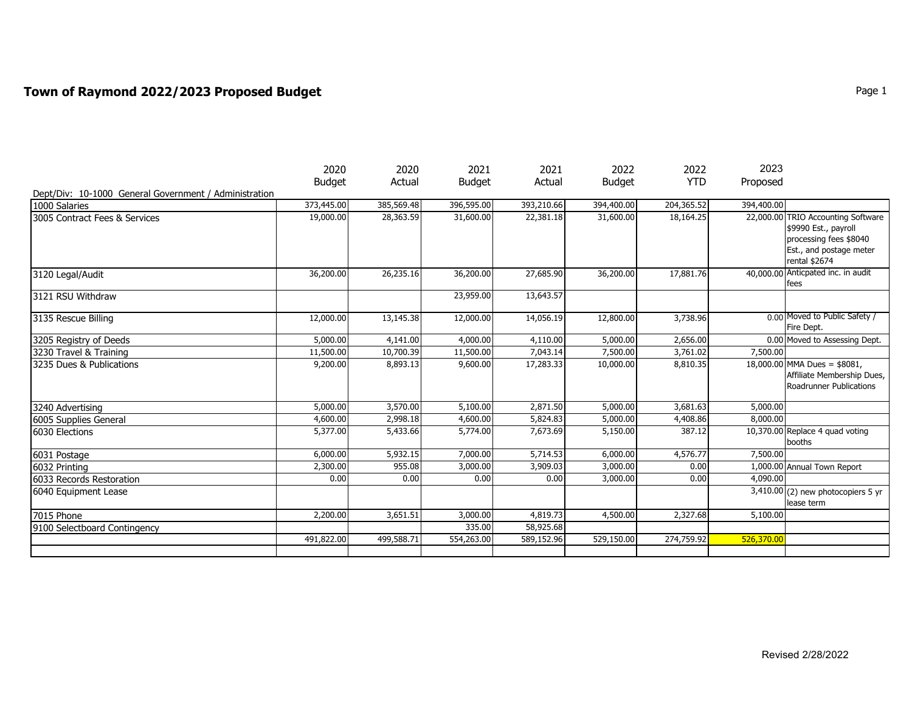## **Town of Raymond 2022/2023 Proposed Budget**  Page 1 **Page 1**

|                                                       | 2020          | 2020       | 2021          | 2021       | 2022          | 2022       | 2023       |                                                                                                                                  |
|-------------------------------------------------------|---------------|------------|---------------|------------|---------------|------------|------------|----------------------------------------------------------------------------------------------------------------------------------|
|                                                       | <b>Budget</b> | Actual     | <b>Budget</b> | Actual     | <b>Budget</b> | <b>YTD</b> | Proposed   |                                                                                                                                  |
| Dept/Div: 10-1000 General Government / Administration |               |            |               |            |               |            |            |                                                                                                                                  |
| 1000 Salaries                                         | 373,445.00    | 385,569.48 | 396,595.00    | 393,210.66 | 394,400.00    | 204,365.52 | 394,400.00 |                                                                                                                                  |
| 3005 Contract Fees & Services                         | 19,000.00     | 28,363.59  | 31,600.00     | 22,381.18  | 31,600.00     | 18,164.25  |            | 22,000.00 TRIO Accounting Software<br>\$9990 Est., payroll<br>processing fees \$8040<br>Est., and postage meter<br>rental \$2674 |
| 3120 Legal/Audit                                      | 36,200.00     | 26,235.16  | 36,200.00     | 27,685.90  | 36,200.00     | 17,881.76  |            | 40,000.00 Anticpated inc. in audit<br>fees                                                                                       |
| 3121 RSU Withdraw                                     |               |            | 23,959.00     | 13,643.57  |               |            |            |                                                                                                                                  |
| 3135 Rescue Billing                                   | 12,000.00     | 13,145.38  | 12,000.00     | 14,056.19  | 12,800.00     | 3,738.96   |            | 0.00 Moved to Public Safety /<br>Fire Dept.                                                                                      |
| 3205 Registry of Deeds                                | 5,000.00      | 4,141.00   | 4,000.00      | 4,110.00   | 5,000.00      | 2,656.00   |            | 0.00 Moved to Assessing Dept.                                                                                                    |
| 3230 Travel & Training                                | 11,500.00     | 10,700.39  | 11,500.00     | 7,043.14   | 7,500.00      | 3,761.02   | 7,500.00   |                                                                                                                                  |
| 3235 Dues & Publications                              | 9,200.00      | 8,893.13   | 9,600.00      | 17,283.33  | 10,000.00     | 8,810.35   |            | 18,000.00 MMA Dues = \$8081,<br>Affiliate Membership Dues,<br>Roadrunner Publications                                            |
| 3240 Advertising                                      | 5,000.00      | 3,570.00   | 5,100.00      | 2,871.50   | 5,000.00      | 3,681.63   | 5,000.00   |                                                                                                                                  |
| 6005 Supplies General                                 | 4,600.00      | 2,998.18   | 4,600.00      | 5,824.83   | 5,000.00      | 4,408.86   | 8,000.00   |                                                                                                                                  |
| 6030 Elections                                        | 5,377.00      | 5,433.66   | 5,774.00      | 7,673.69   | 5,150.00      | 387.12     |            | 10,370.00 Replace 4 guad voting<br>booths                                                                                        |
| 6031 Postage                                          | 6,000.00      | 5,932.15   | 7,000.00      | 5,714.53   | 6,000.00      | 4,576.77   | 7,500.00   |                                                                                                                                  |
| 6032 Printing                                         | 2,300.00      | 955.08     | 3,000.00      | 3,909.03   | 3,000.00      | 0.00       |            | 1,000.00 Annual Town Report                                                                                                      |
| <b>6033 Records Restoration</b>                       | 0.00          | 0.00       | 0.00          | 0.00       | 3,000.00      | 0.00       | 4,090.00   |                                                                                                                                  |
| 6040 Equipment Lease                                  |               |            |               |            |               |            |            | $\overline{3,410.00}$ (2) new photocopiers 5 yr<br>lease term                                                                    |
| 7015 Phone                                            | 2,200.00      | 3,651.51   | 3,000.00      | 4,819.73   | 4,500.00      | 2,327.68   | 5,100.00   |                                                                                                                                  |
| 9100 Selectboard Contingency                          |               |            | 335.00        | 58,925.68  |               |            |            |                                                                                                                                  |
|                                                       | 491,822.00    | 499,588.71 | 554,263.00    | 589,152.96 | 529,150.00    | 274,759.92 | 526,370.00 |                                                                                                                                  |
|                                                       |               |            |               |            |               |            |            |                                                                                                                                  |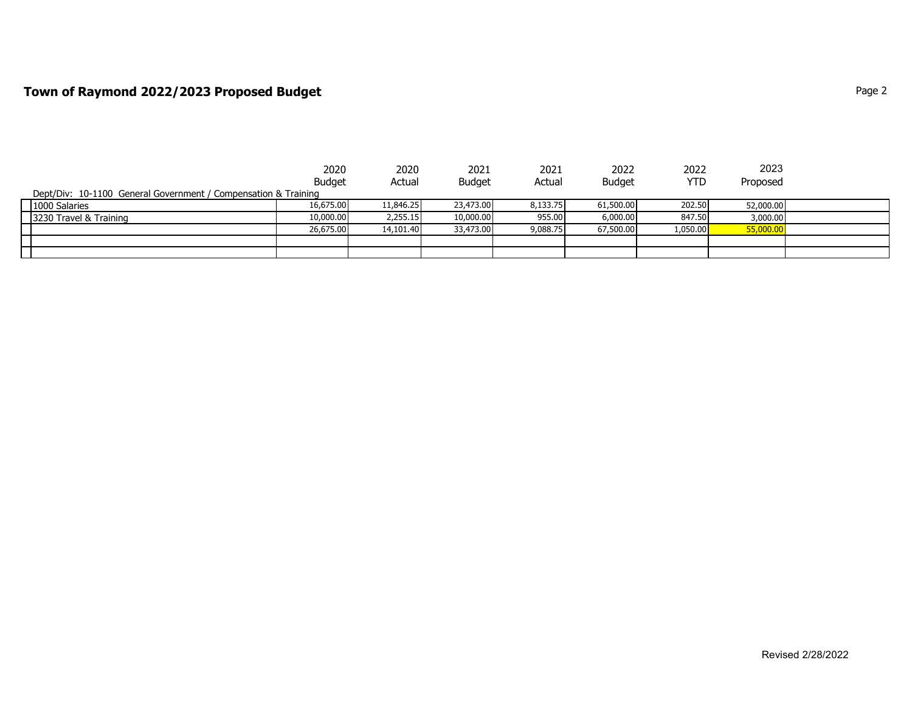## **Town of Raymond 2022/2023 Proposed Budget Page 2** Page 2

|                                                                | 2020          | 2020      | 2021          | 2021     | 2022          | 2022       | 2023      |  |
|----------------------------------------------------------------|---------------|-----------|---------------|----------|---------------|------------|-----------|--|
|                                                                | <b>Budget</b> | Actual    | <b>Budget</b> | Actual   | <b>Budget</b> | <b>YTD</b> | Proposed  |  |
| Dept/Div: 10-1100 General Government / Compensation & Training |               |           |               |          |               |            |           |  |
| 1000 Salaries                                                  | 16,675,00     | 11,846.25 | 23,473.00     | 8,133.75 | 61,500.00     | 202.50     | 52,000.00 |  |
| 3230 Travel & Training                                         | 10,000,00     | 2,255.15  | 10,000.00     | 955.00   | 6,000.00      | 847.50     | 3,000.00  |  |
|                                                                | 26,675.00     | 14,101.40 | 33,473.00     | 9,088.75 | 67,500.00     | 1,050.00   | 55,000.00 |  |
|                                                                |               |           |               |          |               |            |           |  |
|                                                                |               |           |               |          |               |            |           |  |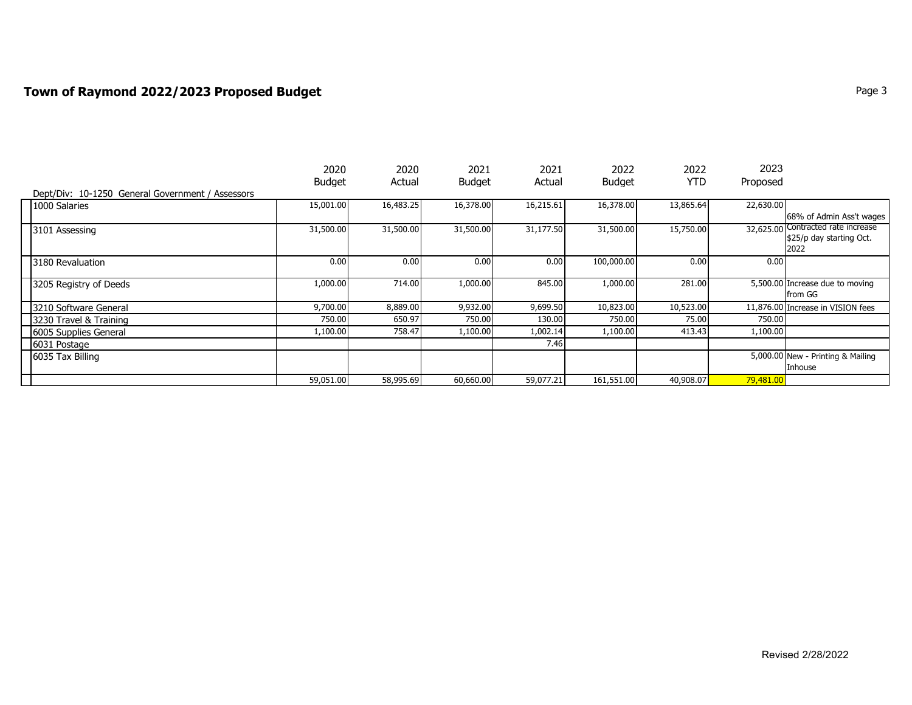## **Town of Raymond 2022/2023 Proposed Budget Page 1 2022/2023 Proposed Budget Page 3**

|                                                  | 2020          | 2020      | 2021          | 2021      | 2022          | 2022       | 2023      |                                    |
|--------------------------------------------------|---------------|-----------|---------------|-----------|---------------|------------|-----------|------------------------------------|
|                                                  | <b>Budget</b> | Actual    | <b>Budget</b> | Actual    | <b>Budget</b> | <b>YTD</b> | Proposed  |                                    |
| Dept/Div: 10-1250 General Government / Assessors |               |           |               |           |               |            |           |                                    |
| 1000 Salaries                                    | 15,001.00     | 16,483.25 | 16,378.00     | 16,215.61 | 16,378.00     | 13,865.64  | 22,630.00 |                                    |
|                                                  |               |           |               |           |               |            |           | 68% of Admin Ass't wages           |
| 3101 Assessing                                   | 31,500.00     | 31,500.00 | 31,500.00     | 31,177.50 | 31,500.00     | 15,750.00  |           | 32,625.00 Contracted rate increase |
|                                                  |               |           |               |           |               |            |           | \$25/p day starting Oct.           |
|                                                  |               |           |               |           |               |            |           | 2022                               |
| 3180 Revaluation                                 | 0.00          | 0.00      | 0.00          | 0.00      | 100,000.00    | 0.00       | 0.00      |                                    |
|                                                  |               |           |               |           |               |            |           |                                    |
| 3205 Registry of Deeds                           | 1,000.00      | 714.00    | 1,000.00      | 845.00    | 1,000.00      | 281.00     |           | 5,500.00 Increase due to moving    |
|                                                  |               |           |               |           |               |            |           | from GG                            |
| 3210 Software General                            | 9,700.00      | 8,889.00  | 9,932.00      | 9,699.50  | 10,823.00     | 10,523.00  |           | 11,876.00 Increase in VISION fees  |
| 3230 Travel & Training                           | 750.00        | 650.97    | 750.00        | 130.00    | 750.00        | 75.00      | 750.00    |                                    |
| 6005 Supplies General                            | 1,100.00      | 758.47    | 1,100.00      | 1,002.14  | 1,100.00      | 413.43     | 1,100.00  |                                    |
| 6031 Postage                                     |               |           |               | 7.46      |               |            |           |                                    |
| 6035 Tax Billing                                 |               |           |               |           |               |            |           | 5,000.00 New - Printing & Mailing  |
|                                                  |               |           |               |           |               |            |           | Inhouse                            |
|                                                  | 59,051.00     | 58,995.69 | 60,660.00     | 59,077.21 | 161,551.00    | 40,908.07  | 79,481.00 |                                    |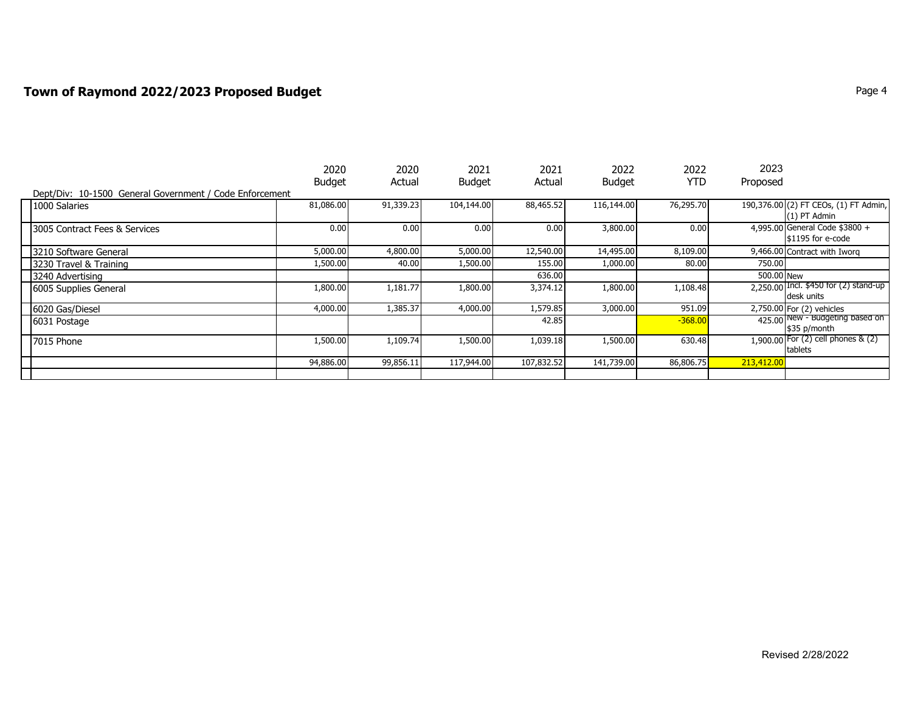## **Town of Raymond 2022/2023 Proposed Budget** Page 4 **Page 4** Page 4

|                                                         | 2020<br><b>Budget</b> | 2020<br>Actual | 2021<br><b>Budget</b> | 2021<br>Actual | 2022<br><b>Budget</b> | 2022<br><b>YTD</b> | 2023<br>Proposed |                                                         |
|---------------------------------------------------------|-----------------------|----------------|-----------------------|----------------|-----------------------|--------------------|------------------|---------------------------------------------------------|
| Dept/Div: 10-1500 General Government / Code Enforcement |                       |                |                       |                |                       |                    |                  |                                                         |
| 1000 Salaries                                           | 81,086.00             | 91,339.23      | 104,144.00            | 88,465.52      | 116,144.00            | 76,295.70          |                  | 190,376.00 (2) FT CEOs, (1) FT Admin,<br>$(1)$ PT Admin |
| 3005 Contract Fees & Services                           | 0.00                  | 0.00           | 0.00                  | 0.00           | 3,800.00              | 0.00               |                  | 4,995.00 General Code \$3800 +<br>\$1195 for e-code     |
| 3210 Software General                                   | 5,000.00              | 4,800.00       | 5,000.00              | 12,540.00      | 14,495.00             | 8,109.00           |                  | 9,466.00 Contract with Iworg                            |
| 3230 Travel & Training                                  | 1,500.00              | 40.00          | 1,500.00              | 155.00         | 1,000.00              | 80.00              | 750.00           |                                                         |
| 3240 Advertising                                        |                       |                |                       | 636.00         |                       |                    | 500.00 New       |                                                         |
| 6005 Supplies General                                   | 1,800.00              | 1,181.77       | 1,800.00              | 3,374.12       | 1,800.00              | 1,108.48           |                  | $2,250.00$ Incl. \$450 for (2) stand-up<br>desk units   |
| 6020 Gas/Diesel                                         | 4,000.00              | 1,385.37       | 4,000.00              | 1,579.85       | 3,000.00              | 951.09             |                  | 2,750.00 For (2) vehicles                               |
| 6031 Postage                                            |                       |                |                       | 42.85          |                       | $-368.00$          |                  | 425.00 New - Budgeting based on<br>\$35 p/month         |
| 7015 Phone                                              | 1,500.00              | 1,109.74       | 1,500.00              | 1,039.18       | 1,500.00              | 630.48             |                  | 1,900.00 For (2) cell phones & (2)<br>tablets           |
|                                                         | 94,886.00             | 99,856.11      | 117,944.00            | 107,832.52     | 141,739.00            | 86,806.75          | 213,412.00       |                                                         |
|                                                         |                       |                |                       |                |                       |                    |                  |                                                         |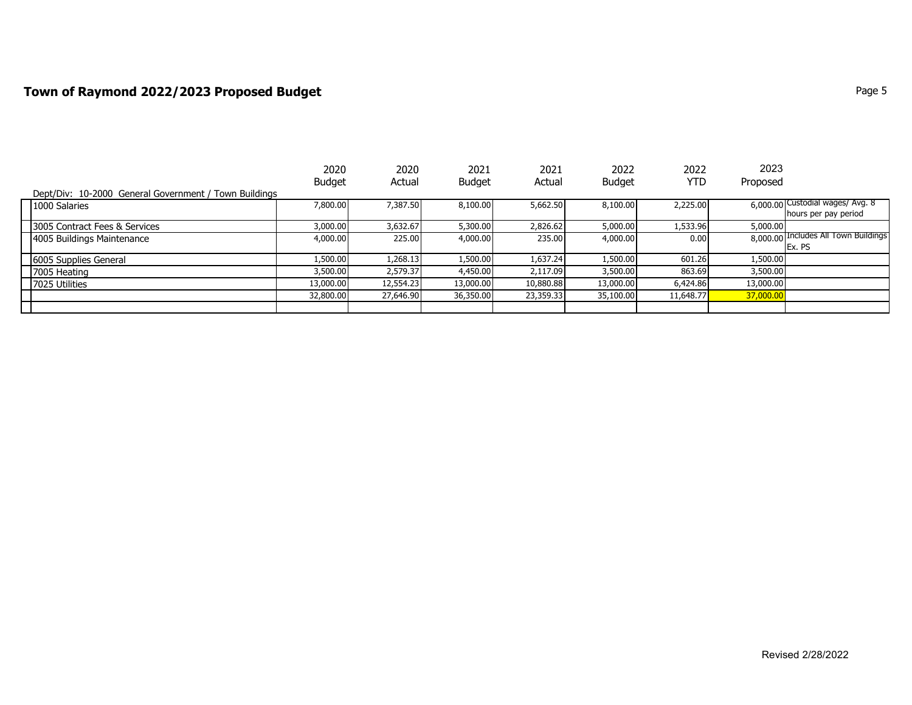# **Town of Raymond 2022/2023 Proposed Budget Page 5** Page 1 2011 12:30 Page 5

|                                                       | 2020          | 2020      | 2021          | 2021      | 2022          | 2022      | 2023      |                                      |
|-------------------------------------------------------|---------------|-----------|---------------|-----------|---------------|-----------|-----------|--------------------------------------|
|                                                       | <b>Budget</b> | Actual    | <b>Budget</b> | Actual    | <b>Budget</b> | YTD       | Proposed  |                                      |
| Dept/Div: 10-2000 General Government / Town Buildings |               |           |               |           |               |           |           |                                      |
| 1000 Salaries                                         | 7,800.00      | 7,387.50  | 8,100.00      | 5,662.50  | 8,100,00      | 2,225.00  |           | 6,000.00 Custodial wages/ Avg. 8     |
|                                                       |               |           |               |           |               |           |           | hours per pay period                 |
| 3005 Contract Fees & Services                         | 3,000.00      | 3,632.67  | 5,300.00      | 2,826.62  | 5,000.00      | 1,533.96  | 5,000.00  |                                      |
| 4005 Buildings Maintenance                            | 4,000.00      | 225.00    | 4,000.00      | 235.00    | 4,000.00      | 0.00      |           | 8,000.00 Includes All Town Buildings |
|                                                       |               |           |               |           |               |           |           | Ex. PS                               |
| 6005 Supplies General                                 | 1,500.00      | 1,268.13  | 1,500.00      | 1,637.24  | 1,500.00      | 601.26    | 1,500.00  |                                      |
| 7005 Heating                                          | 3,500.00      | 2,579.37  | 4,450.00      | 2,117.09  | 3,500.00      | 863.69    | 3,500.00  |                                      |
| 7025 Utilities                                        | 13,000.00     | 12,554.23 | 13,000.00     | 10,880.88 | 13,000.00     | 6,424.86  | 13,000.00 |                                      |
|                                                       | 32,800.00     | 27,646.90 | 36,350.00     | 23,359.33 | 35,100.00     | 11,648.77 | 37,000.00 |                                      |
|                                                       |               |           |               |           |               |           |           |                                      |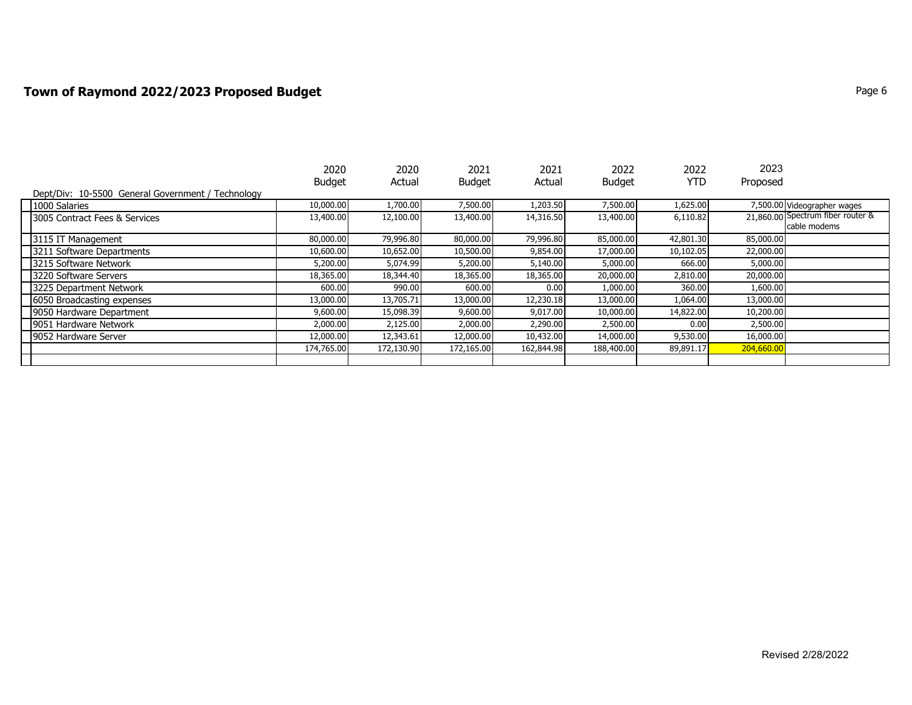# **Town of Raymond 2022/2023 Proposed Budget Page 6** Page 6

|                                                   | 2020          | 2020       | 2021          | 2021       | 2022          | 2022       | 2023       |                                   |
|---------------------------------------------------|---------------|------------|---------------|------------|---------------|------------|------------|-----------------------------------|
|                                                   | <b>Budget</b> | Actual     | <b>Budget</b> | Actual     | <b>Budget</b> | <b>YTD</b> | Proposed   |                                   |
| Dept/Div: 10-5500 General Government / Technology |               |            |               |            |               |            |            |                                   |
| 1000 Salaries                                     | 10,000.00     | 1,700.00   | 7,500.00      | 1,203.50   | 7,500.00      | 1,625.00   |            | 7,500.00 Videographer wages       |
| 3005 Contract Fees & Services                     | 13,400.00     | 12,100.00  | 13,400.00     | 14,316.50  | 13,400.00     | 6,110.82   |            | 21,860.00 Spectrum fiber router & |
|                                                   |               |            |               |            |               |            |            | cable modems                      |
| 3115 IT Management                                | 80,000.00     | 79,996.80  | 80,000.00     | 79,996.80  | 85,000.00     | 42,801.30  | 85,000.00  |                                   |
| 3211 Software Departments                         | 10,600.00     | 10,652.00  | 10,500.00     | 9,854.00   | 17,000.00     | 10,102.05  | 22,000.00  |                                   |
| 3215 Software Network                             | 5,200.00      | 5,074.99   | 5,200.00      | 5,140.00   | 5,000.00      | 666.00     | 5,000.00   |                                   |
| 3220 Software Servers                             | 18,365.00     | 18,344.40  | 18,365.00     | 18,365.00  | 20,000.00     | 2,810.00   | 20,000.00  |                                   |
| 3225 Department Network                           | 600.00        | 990.00     | 600.00        | 0.00       | 1,000.00      | 360.00     | 1,600.00   |                                   |
| 6050 Broadcasting expenses                        | 13,000.00     | 13,705.71  | 13,000.00     | 12,230.18  | 13,000.00     | 1,064.00   | 13,000.00  |                                   |
| 9050 Hardware Department                          | 9,600.00      | 15,098.39  | 9,600.00      | 9,017.00   | 10,000.00     | 14,822.00  | 10,200.00  |                                   |
| 9051 Hardware Network                             | 2,000.00      | 2,125.00   | 2,000.00      | 2,290.00   | 2,500.00      | 0.00       | 2,500.00   |                                   |
| 9052 Hardware Server                              | 12,000.00     | 12,343.61  | 12,000.00     | 10,432.00  | 14,000.00     | 9,530.00   | 16,000.00  |                                   |
|                                                   | 174,765.00    | 172,130.90 | 172,165.00    | 162,844.98 | 188,400.00    | 89,891.17  | 204,660.00 |                                   |
|                                                   |               |            |               |            |               |            |            |                                   |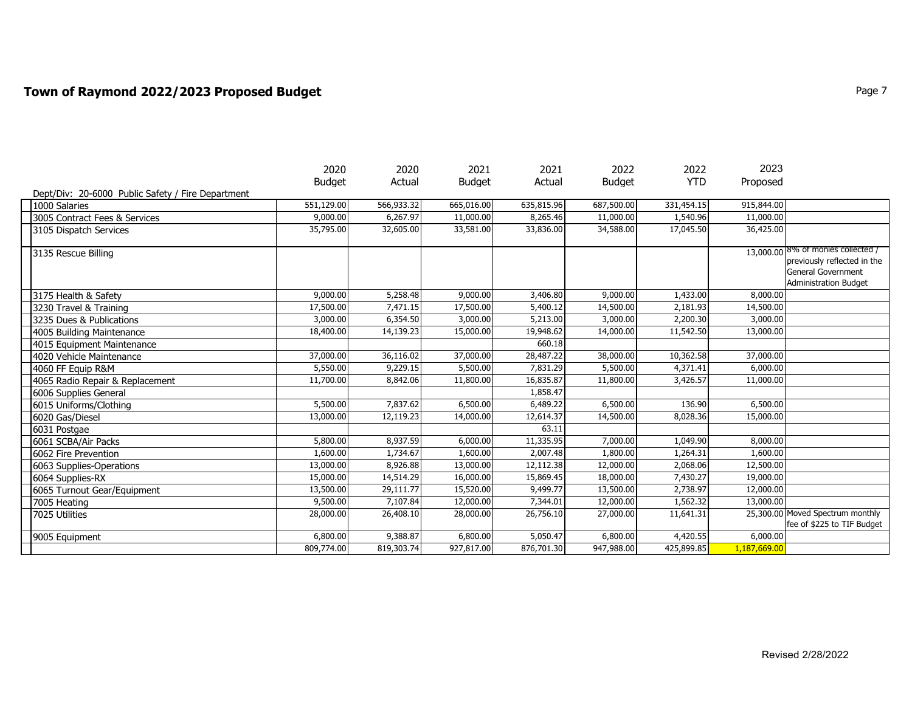## **Town of Raymond 2022/2023 Proposed Budget Page 7** Page 7

|                                                   | 2020          | 2020       | 2021          | 2021       | 2022          | 2022       | 2023         |                                                                |
|---------------------------------------------------|---------------|------------|---------------|------------|---------------|------------|--------------|----------------------------------------------------------------|
|                                                   | <b>Budget</b> | Actual     | <b>Budget</b> | Actual     | <b>Budget</b> | <b>YTD</b> | Proposed     |                                                                |
| Dept/Div: 20-6000 Public Safety / Fire Department |               |            |               |            |               |            |              |                                                                |
| 1000 Salaries                                     | 551,129.00    | 566,933.32 | 665,016.00    | 635,815.96 | 687,500.00    | 331,454.15 | 915,844.00   |                                                                |
| 3005 Contract Fees & Services                     | 9,000.00      | 6,267.97   | 11,000.00     | 8,265.46   | 11,000.00     | 1,540.96   | 11,000.00    |                                                                |
| 3105 Dispatch Services                            | 35,795.00     | 32,605.00  | 33,581.00     | 33,836.00  | 34,588.00     | 17,045.50  | 36,425.00    |                                                                |
| 3135 Rescue Billing                               |               |            |               |            |               |            |              | 13,000.00 8% of monies collected /                             |
|                                                   |               |            |               |            |               |            |              | previously reflected in the                                    |
|                                                   |               |            |               |            |               |            |              | <b>General Government</b>                                      |
|                                                   |               |            |               |            |               |            |              | <b>Administration Budget</b>                                   |
| 3175 Health & Safety                              | 9,000.00      | 5,258.48   | 9,000.00      | 3,406.80   | 9,000.00      | 1,433.00   | 8,000.00     |                                                                |
| 3230 Travel & Training                            | 17,500.00     | 7,471.15   | 17,500.00     | 5,400.12   | 14,500.00     | 2,181.93   | 14,500.00    |                                                                |
| 3235 Dues & Publications                          | 3,000.00      | 6,354.50   | 3,000.00      | 5,213.00   | 3,000.00      | 2,200.30   | 3,000.00     |                                                                |
| 4005 Building Maintenance                         | 18,400.00     | 14,139.23  | 15,000.00     | 19,948.62  | 14,000.00     | 11,542.50  | 13,000.00    |                                                                |
| 4015 Equipment Maintenance                        |               |            |               | 660.18     |               |            |              |                                                                |
| 4020 Vehicle Maintenance                          | 37,000.00     | 36,116.02  | 37,000.00     | 28,487.22  | 38,000.00     | 10,362.58  | 37,000.00    |                                                                |
| 4060 FF Equip R&M                                 | 5,550.00      | 9,229.15   | 5,500.00      | 7,831.29   | 5,500.00      | 4,371.41   | 6,000.00     |                                                                |
| 4065 Radio Repair & Replacement                   | 11,700.00     | 8,842.06   | 11,800.00     | 16,835.87  | 11,800.00     | 3,426.57   | 11,000.00    |                                                                |
| 6006 Supplies General                             |               |            |               | 1,858.47   |               |            |              |                                                                |
| 6015 Uniforms/Clothing                            | 5,500.00      | 7,837.62   | 6,500.00      | 6,489.22   | 6,500.00      | 136.90     | 6,500.00     |                                                                |
| 6020 Gas/Diesel                                   | 13,000.00     | 12,119.23  | 14,000.00     | 12,614.37  | 14,500.00     | 8,028.36   | 15,000.00    |                                                                |
| 6031 Postgae                                      |               |            |               | 63.11      |               |            |              |                                                                |
| 6061 SCBA/Air Packs                               | 5,800.00      | 8,937.59   | 6,000.00      | 11,335.95  | 7,000.00      | 1,049.90   | 8,000.00     |                                                                |
| 6062 Fire Prevention                              | 1,600.00      | 1,734.67   | 1,600.00      | 2,007.48   | 1,800.00      | 1,264.31   | 1,600.00     |                                                                |
| 6063 Supplies-Operations                          | 13,000.00     | 8,926.88   | 13,000.00     | 12,112.38  | 12,000.00     | 2,068.06   | 12,500.00    |                                                                |
| 6064 Supplies-RX                                  | 15,000.00     | 14,514.29  | 16,000.00     | 15,869.45  | 18,000.00     | 7,430.27   | 19,000.00    |                                                                |
| 6065 Turnout Gear/Equipment                       | 13,500.00     | 29,111.77  | 15,520.00     | 9,499.77   | 13,500.00     | 2,738.97   | 12,000.00    |                                                                |
| 7005 Heating                                      | 9,500.00      | 7,107.84   | 12,000.00     | 7,344.01   | 12,000.00     | 1,562.32   | 13,000.00    |                                                                |
| 7025 Utilities                                    | 28,000.00     | 26,408.10  | 28,000.00     | 26,756.10  | 27,000.00     | 11,641.31  |              | 25,300,00 Moved Spectrum monthly<br>fee of \$225 to TIF Budget |
|                                                   |               |            |               |            |               |            |              |                                                                |
| 9005 Equipment                                    | 6,800.00      | 9,388.87   | 6,800.00      | 5,050.47   | 6,800.00      | 4,420.55   | 6,000.00     |                                                                |
|                                                   | 809,774.00    | 819,303.74 | 927,817.00    | 876,701.30 | 947,988.00    | 425,899.85 | 1,187,669.00 |                                                                |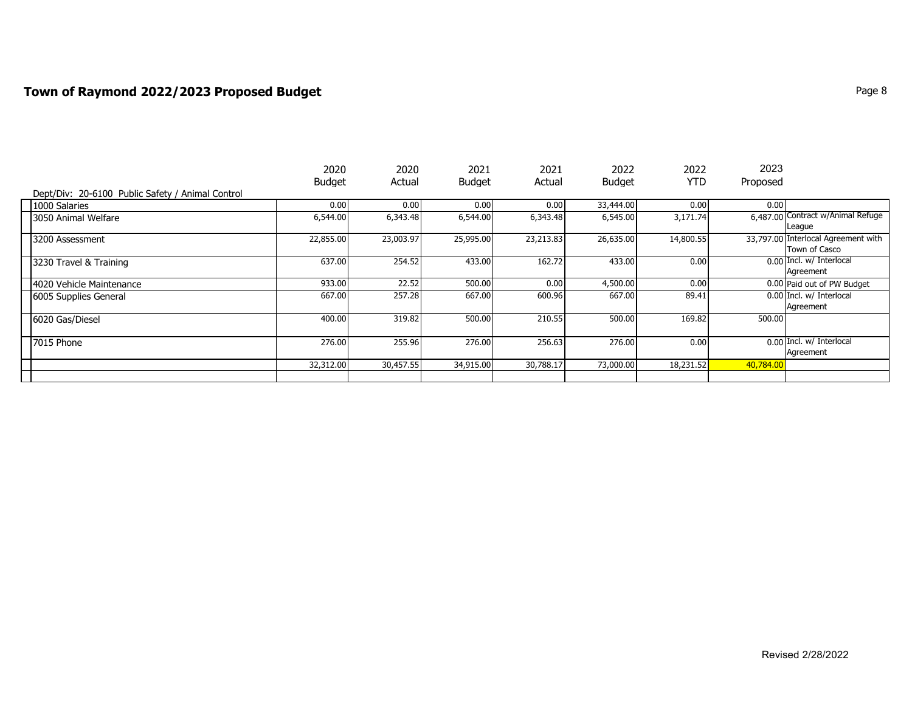# **Town of Raymond 2022/2023 Proposed Budget Page 8** Page 8

|                                                  | 2020          | 2020      | 2021          | 2021      | 2022          | 2022      | 2023      |                                     |
|--------------------------------------------------|---------------|-----------|---------------|-----------|---------------|-----------|-----------|-------------------------------------|
|                                                  | <b>Budget</b> | Actual    | <b>Budget</b> | Actual    | <b>Budget</b> | YTD       | Proposed  |                                     |
| Dept/Div: 20-6100 Public Safety / Animal Control |               |           |               |           |               |           |           |                                     |
| 1000 Salaries                                    | 0.00          | 0.00      | 0.00          | 0.00      | 33,444.00     | 0.00      | 0.00      |                                     |
| 3050 Animal Welfare                              | 6,544.00      | 6,343.48  | 6,544.00      | 6,343.48  | 6,545.00      | 3,171.74  |           | 6,487.00 Contract w/Animal Refuge   |
|                                                  |               |           |               |           |               |           |           | League                              |
| 3200 Assessment                                  | 22,855.00     | 23,003.97 | 25,995.00     | 23,213.83 | 26,635.00     | 14,800.55 |           | 33,797.00 Interlocal Agreement with |
|                                                  |               |           |               |           |               |           |           | Town of Casco                       |
| 3230 Travel & Training                           | 637.00        | 254.52    | 433.00        | 162.72    | 433.00        | 0.00      |           | 0.00 Incl. w/ Interlocal            |
|                                                  |               |           |               |           |               |           |           | Agreement                           |
| 4020 Vehicle Maintenance                         | 933.00        | 22.52     | 500.00        | 0.00      | 4,500.00      | 0.00      |           | 0.00 Paid out of PW Budget          |
| 6005 Supplies General                            | 667.00        | 257.28    | 667.00        | 600.96    | 667.00        | 89.41     |           | 0.00 Incl. w/ Interlocal            |
|                                                  |               |           |               |           |               |           |           | Agreement                           |
| 6020 Gas/Diesel                                  | 400.00        | 319.82    | 500.00        | 210.55    | 500.00        | 169.82    | 500.00    |                                     |
|                                                  |               |           |               |           |               |           |           |                                     |
| 7015 Phone                                       | 276.00        | 255.96    | 276.00        | 256.63    | 276.00        | 0.00      |           | 0.00 Incl. w/ Interlocal            |
|                                                  |               |           |               |           |               |           |           | Agreement                           |
|                                                  | 32,312.00     | 30,457.55 | 34,915.00     | 30,788.17 | 73,000.00     | 18,231.52 | 40,784.00 |                                     |
|                                                  |               |           |               |           |               |           |           |                                     |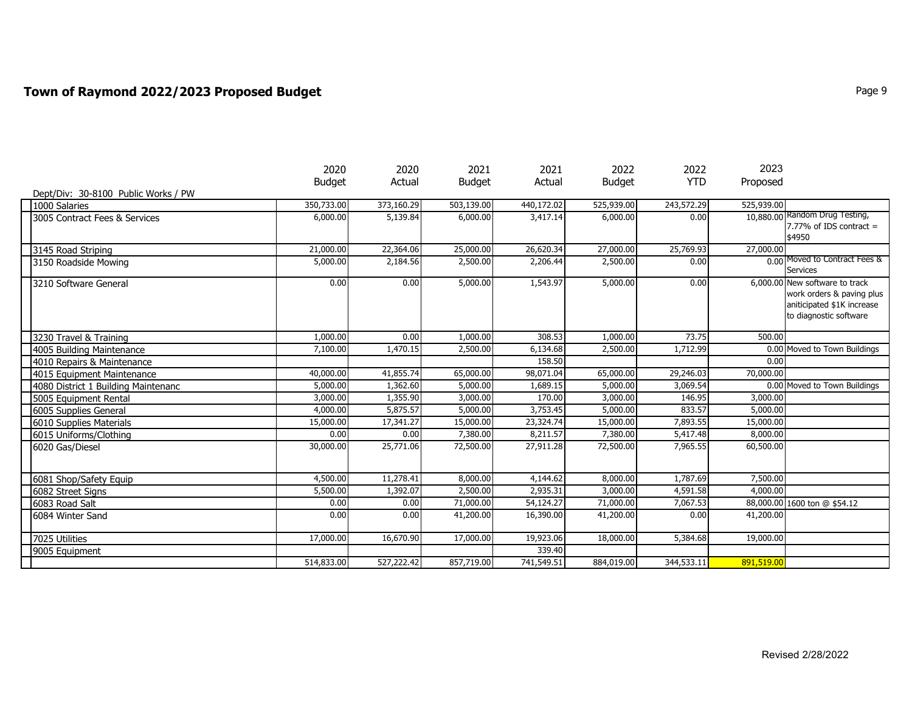# **Town of Raymond 2022/2023 Proposed Budget Page 1 2023 Page 9** Page 9

|                                     | 2020          | 2020                  | 2021          | 2021       | 2022          | 2022       | 2023       |                                     |
|-------------------------------------|---------------|-----------------------|---------------|------------|---------------|------------|------------|-------------------------------------|
|                                     | <b>Budget</b> | Actual                | <b>Budget</b> | Actual     | <b>Budget</b> | <b>YTD</b> | Proposed   |                                     |
| Dept/Div: 30-8100 Public Works / PW |               |                       |               |            |               |            |            |                                     |
| 1000 Salaries                       | 350,733.00    | 373,160.29            | 503,139.00    | 440,172.02 | 525,939.00    | 243,572.29 | 525,939.00 |                                     |
| 3005 Contract Fees & Services       | 6,000.00      | 5,139.84              | 6,000.00      | 3,417.14   | 6,000.00      | 0.00       |            | 10,880.00 Random Drug Testing,      |
|                                     |               |                       |               |            |               |            |            | 7.77% of IDS contract $=$<br>\$4950 |
|                                     |               |                       |               |            |               |            |            |                                     |
| 3145 Road Striping                  | 21,000.00     | 22,364.06             | 25,000.00     | 26,620.34  | 27,000.00     | 25,769.93  | 27,000.00  | 0.00 Moved to Contract Fees &       |
| 3150 Roadside Mowing                | 5,000.00      | 2,184.56              | 2,500.00      | 2,206.44   | 2,500.00      | 0.00       |            | <b>Services</b>                     |
| 3210 Software General               | 0.00          | 0.00                  | 5,000.00      | 1,543.97   | 5,000.00      | 0.00       |            | 6,000.00 New software to track      |
|                                     |               |                       |               |            |               |            |            | work orders & paving plus           |
|                                     |               |                       |               |            |               |            |            | aniticipated \$1K increase          |
|                                     |               |                       |               |            |               |            |            | to diagnostic software              |
|                                     |               |                       |               |            |               |            |            |                                     |
| 3230 Travel & Training              | 1,000.00      | 0.00                  | 1,000.00      | 308.53     | 1,000.00      | 73.75      | 500.00     |                                     |
| 4005 Building Maintenance           | 7,100.00      | 1,470.15              | 2,500.00      | 6,134.68   | 2,500.00      | 1,712.99   |            | 0.00 Moved to Town Buildings        |
| 4010 Repairs & Maintenance          |               |                       |               | 158.50     |               |            | 0.00       |                                     |
| 4015 Equipment Maintenance          | 40,000.00     | 41,855.74             | 65,000.00     | 98,071.04  | 65,000.00     | 29,246.03  | 70,000.00  |                                     |
| 4080 District 1 Building Maintenanc | 5,000.00      | 1,362.60              | 5,000.00      | 1,689.15   | 5,000.00      | 3,069.54   |            | 0.00 Moved to Town Buildings        |
| 5005 Equipment Rental               | 3,000.00      | 1,355.90              | 3,000.00      | 170.00     | 3,000.00      | 146.95     | 3,000.00   |                                     |
| 6005 Supplies General               | 4,000.00      | 5,875.57              | 5,000.00      | 3,753.45   | 5,000.00      | 833.57     | 5,000.00   |                                     |
| 6010 Supplies Materials             | 15,000.00     | 17,341.27             | 15,000.00     | 23,324.74  | 15,000.00     | 7,893.55   | 15,000.00  |                                     |
| 6015 Uniforms/Clothing              | 0.00          | 0.00                  | 7,380.00      | 8,211.57   | 7,380.00      | 5,417.48   | 8,000.00   |                                     |
| 6020 Gas/Diesel                     | 30,000.00     | 25,771.06             | 72,500.00     | 27,911.28  | 72,500.00     | 7,965.55   | 60,500.00  |                                     |
|                                     |               |                       |               |            |               |            |            |                                     |
|                                     | 4,500.00      |                       | 8,000.00      | 4,144.62   | 8,000.00      | 1,787.69   | 7,500.00   |                                     |
| 6081 Shop/Safety Equip              | 5,500.00      | 11,278.41<br>1,392.07 | 2,500.00      | 2,935.31   | 3,000.00      | 4,591.58   | 4,000.00   |                                     |
| 6082 Street Signs                   |               |                       |               |            |               |            |            |                                     |
| 6083 Road Salt                      | 0.00          | 0.00                  | 71,000.00     | 54,124.27  | 71,000.00     | 7,067.53   |            | 88,000.00 1600 ton @ \$54.12        |
| 6084 Winter Sand                    | 0.00          | 0.00                  | 41,200.00     | 16,390.00  | 41,200.00     | 0.00       | 41,200.00  |                                     |
|                                     | 17,000.00     | 16,670.90             | 17,000.00     | 19,923.06  | 18,000.00     | 5,384.68   | 19,000.00  |                                     |
| 7025 Utilities                      |               |                       |               | 339.40     |               |            |            |                                     |
| 9005 Equipment                      | 514,833.00    |                       |               | 741,549.51 |               |            | 891,519.00 |                                     |
|                                     |               | 527,222.42            | 857,719.00    |            | 884,019.00    | 344,533.11 |            |                                     |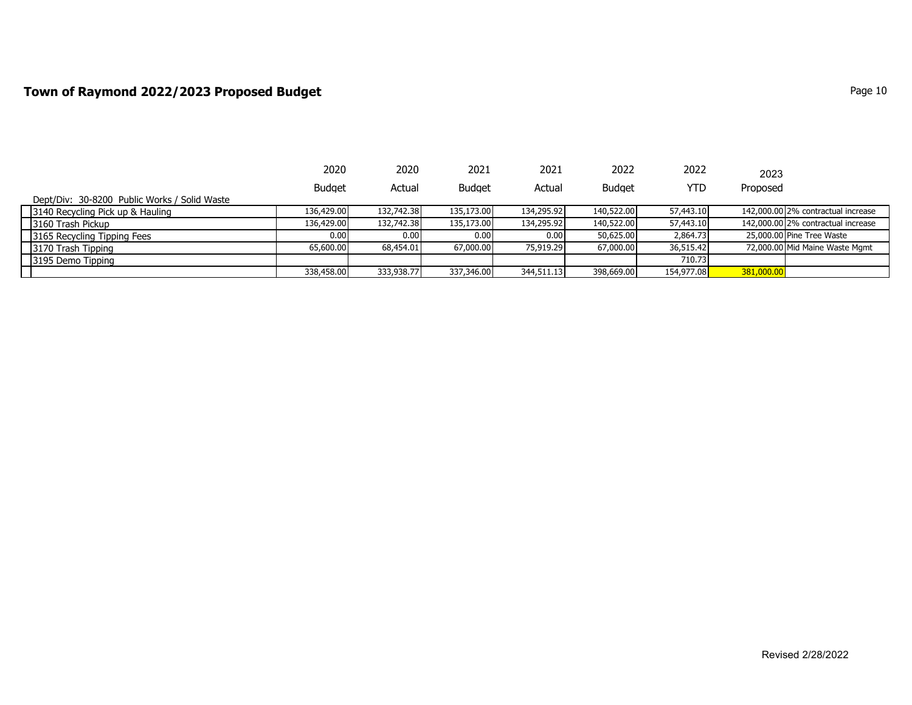### **Town of Raymond 2022/2023 Proposed Budget Page 10** Page 10

|                                              | 2020          | 2020       | 2021          | 2021       | 2022          | 2022       | 2023       |                                    |
|----------------------------------------------|---------------|------------|---------------|------------|---------------|------------|------------|------------------------------------|
|                                              | <b>Budget</b> | Actual     | <b>Budget</b> | Actual     | <b>Budget</b> | YTD        | Proposed   |                                    |
| Dept/Div: 30-8200 Public Works / Solid Waste |               |            |               |            |               |            |            |                                    |
| 3140 Recycling Pick up & Hauling             | 136,429,00    | 132,742.38 | 135,173,00    | 134,295.92 | 140,522.00    | 57,443.10  |            | 142,000.00 2% contractual increase |
| 3160 Trash Pickup                            | 136,429.00    | 132,742.38 | 135,173.00    | 134,295.92 | 140,522.00    | 57,443.10  |            | 142,000.00 2% contractual increase |
| 3165 Recycling Tipping Fees                  | 0.00          | 0.00       | 0.00 l        | 0.00       | 50,625.00     | 2,864.73   |            | 25,000.00 Pine Tree Waste          |
| 3170 Trash Tipping                           | 65,600.00     | 68,454.01  | 67,000.00     | 75,919.29  | 67,000.00     | 36,515.42  |            | 72,000.00 Mid Maine Waste Mgmt     |
| 3195 Demo Tipping                            |               |            |               |            |               | 710.73     |            |                                    |
|                                              | 338,458.00    | 333,938,77 | 337,346.00    | 344,511.13 | 398,669.00    | 154,977.08 | 381,000.00 |                                    |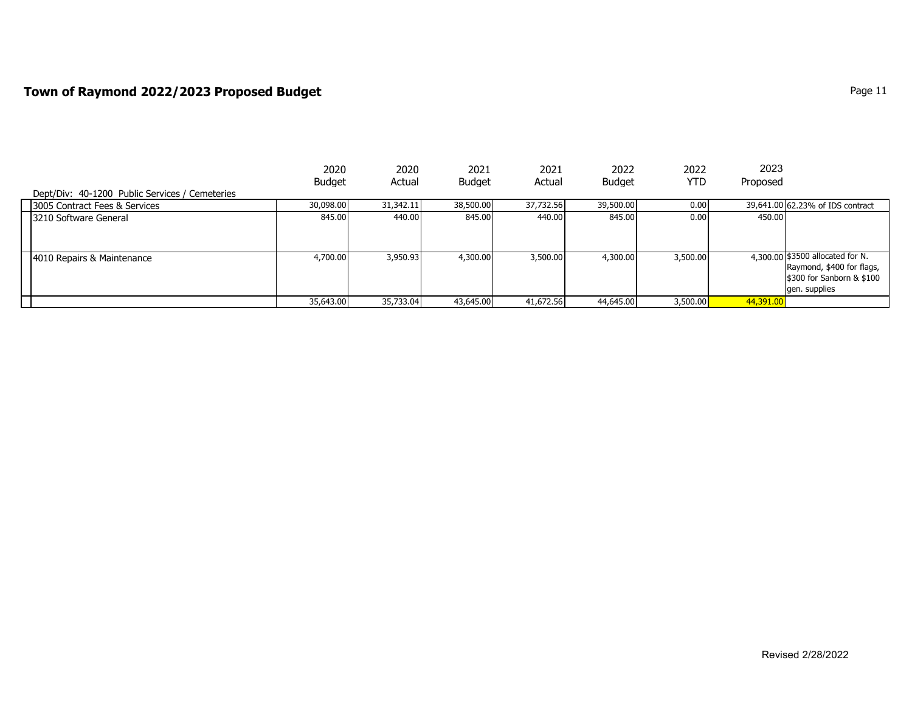### **Town of Raymond 2022/2023 Proposed Budget Page 11 Page 11 Page 11**

|                                                | 2020          | 2020      | 2021          | 2021      | 2022          | 2022     | 2023      |                                  |
|------------------------------------------------|---------------|-----------|---------------|-----------|---------------|----------|-----------|----------------------------------|
|                                                | <b>Budget</b> | Actual    | <b>Budget</b> | Actual    | <b>Budget</b> | YTD      | Proposed  |                                  |
| Dept/Div: 40-1200 Public Services / Cemeteries |               |           |               |           |               |          |           |                                  |
| 3005 Contract Fees & Services                  | 30,098.00     | 31,342.11 | 38,500.00     | 37,732.56 | 39,500.00     | 0.00     |           | 39,641.00 62.23% of IDS contract |
| 3210 Software General                          | 845.00        | 440.00    | 845.00        | 440.00    | 845.00        | 0.00     | 450.00    |                                  |
|                                                |               |           |               |           |               |          |           |                                  |
|                                                |               |           |               |           |               |          |           |                                  |
| 4010 Repairs & Maintenance                     | 4,700.00      | 3,950.93  | 4,300,00      | 3,500.00  | 4,300.00      | 3,500.00 |           | 4,300.00 \$3500 allocated for N. |
|                                                |               |           |               |           |               |          |           | Raymond, \$400 for flags,        |
|                                                |               |           |               |           |               |          |           | \$300 for Sanborn & \$100        |
|                                                |               |           |               |           |               |          |           | gen. supplies                    |
|                                                | 35,643.00     | 35,733.04 | 43,645.00     | 41,672.56 | 44,645.00     | 3,500.00 | 44,391.00 |                                  |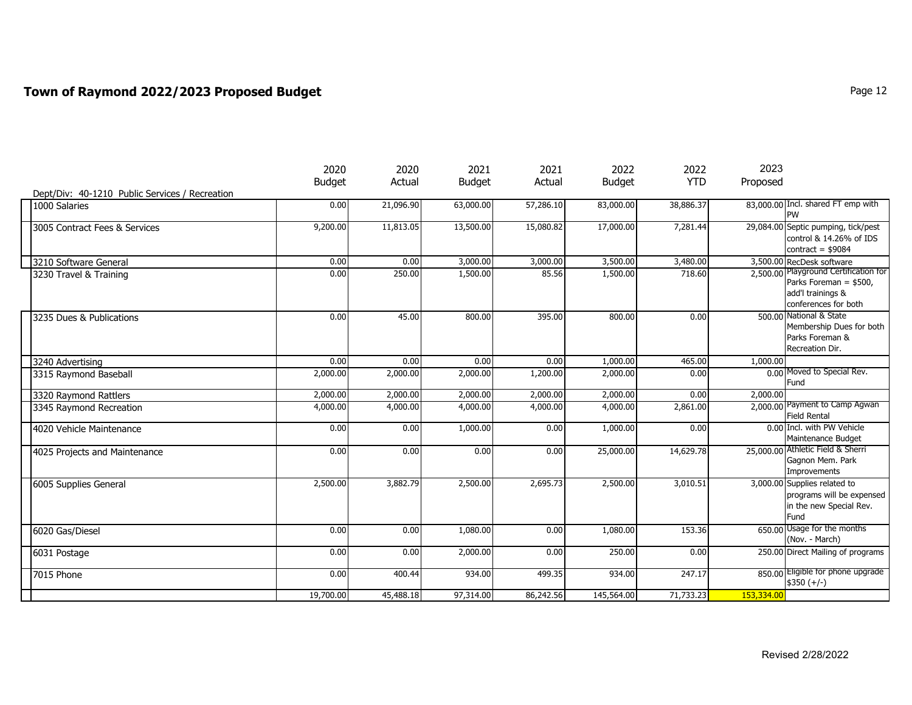## **Town of Raymond 2022/2023 Proposed Budget Page 12** Page 12

|                                                | 2020          | 2020      | 2021          | 2021      | 2022          | 2022       | 2023       |                                                                                                              |
|------------------------------------------------|---------------|-----------|---------------|-----------|---------------|------------|------------|--------------------------------------------------------------------------------------------------------------|
|                                                | <b>Budget</b> | Actual    | <b>Budget</b> | Actual    | <b>Budget</b> | <b>YTD</b> | Proposed   |                                                                                                              |
| Dept/Div: 40-1210 Public Services / Recreation |               |           |               |           |               |            |            |                                                                                                              |
| 1000 Salaries                                  | 0.00          | 21,096.90 | 63,000.00     | 57,286.10 | 83,000.00     | 38,886.37  |            | 83,000.00 Incl. shared FT emp with<br><b>PW</b>                                                              |
| 3005 Contract Fees & Services                  | 9,200.00      | 11,813.05 | 13,500.00     | 15,080.82 | 17,000.00     | 7,281.44   |            | 29,084.00 Septic pumping, tick/pest<br>control & 14.26% of IDS<br>contract = $$9084$                         |
| 3210 Software General                          | 0.00          | 0.00      | 3,000.00      | 3,000.00  | 3,500.00      | 3,480.00   |            | 3,500.00 RecDesk software                                                                                    |
| 3230 Travel & Training                         | 0.00          | 250.00    | 1,500.00      | 85.56     | 1,500.00      | 718.60     |            | 2,500.00 Playground Certification for<br>Parks Foreman = \$500,<br>add'l trainings &<br>conferences for both |
| 3235 Dues & Publications                       | 0.00          | 45.00     | 800.00        | 395.00    | 800.00        | 0.00       |            | 500.00 National & State<br>Membership Dues for both<br>Parks Foreman &<br>Recreation Dir.                    |
| 3240 Advertising                               | 0.00          | 0.00      | 0.00          | 0.00      | 1,000.00      | 465.00     | 1,000.00   |                                                                                                              |
| 3315 Raymond Baseball                          | 2,000.00      | 2,000.00  | 2,000.00      | 1,200.00  | 2,000.00      | 0.00       |            | 0.00 Moved to Special Rev.<br><b>Fund</b>                                                                    |
| 3320 Raymond Rattlers                          | 2,000.00      | 2,000.00  | 2,000.00      | 2,000.00  | 2,000.00      | 0.00       | 2,000.00   |                                                                                                              |
| 3345 Raymond Recreation                        | 4,000.00      | 4,000.00  | 4,000.00      | 4,000.00  | 4,000.00      | 2,861.00   |            | 2,000.00 Payment to Camp Agwan<br><b>Field Rental</b>                                                        |
| 4020 Vehicle Maintenance                       | 0.00          | 0.00      | 1,000.00      | 0.00      | 1,000.00      | 0.00       |            | 0.00 Incl. with PW Vehicle<br>Maintenance Budget                                                             |
| 4025 Projects and Maintenance                  | 0.00          | 0.00      | 0.00          | 0.00      | 25,000.00     | 14,629.78  |            | 25,000.00 Athletic Field & Sherri<br>Gagnon Mem. Park<br>Improvements                                        |
| 6005 Supplies General                          | 2,500.00      | 3,882.79  | 2,500.00      | 2,695.73  | 2,500.00      | 3,010.51   |            | 3,000.00 Supplies related to<br>programs will be expensed<br>in the new Special Rev.<br>Fund                 |
| 6020 Gas/Diesel                                | 0.00          | 0.00      | 1,080.00      | 0.00      | 1,080.00      | 153.36     |            | 650.00 Usage for the months<br>(Nov. - March)                                                                |
| 6031 Postage                                   | 0.00          | 0.00      | 2,000.00      | 0.00      | 250.00        | 0.00       |            | 250.00 Direct Mailing of programs                                                                            |
| 7015 Phone                                     | 0.00          | 400.44    | 934.00        | 499.35    | 934.00        | 247.17     |            | 850.00 Eligible for phone upgrade<br>$$350 (+/-)$                                                            |
|                                                | 19,700.00     | 45,488.18 | 97,314.00     | 86,242.56 | 145,564.00    | 71,733.23  | 153,334.00 |                                                                                                              |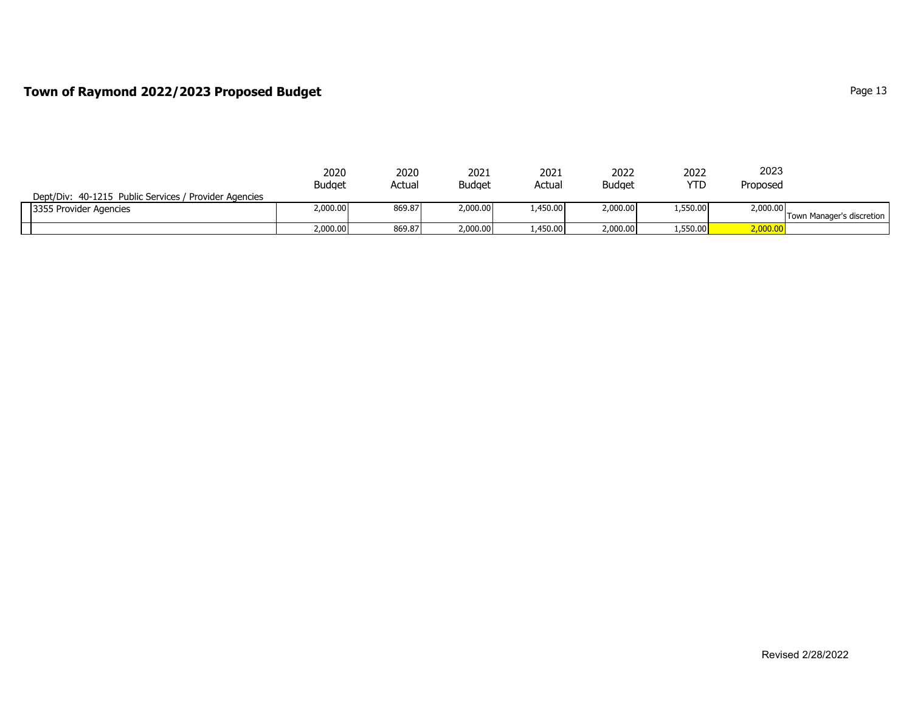## **Town of Raymond 2022/2023 Proposed Budget** Page 13

|                                                       | 2020          | 2020   | 2021          | 2021    | 2022          | 2022     | 2023     |                           |
|-------------------------------------------------------|---------------|--------|---------------|---------|---------------|----------|----------|---------------------------|
|                                                       | <b>Budget</b> | Actual | <b>Budget</b> | Actual  | <b>Budget</b> | YTD      | Proposed |                           |
| Dept/Div: 40-1215 Public Services / Provider Agencies |               |        |               |         |               |          |          |                           |
| 3355 Provider Agencies                                | 2,000.00      | 869.87 | 2,000.00      | .450.00 | 2,000.00      | 1,550.00 | 2,000.00 |                           |
|                                                       |               |        |               |         |               |          |          | Town Manager's discretion |
|                                                       | 2,000.00      | 869.87 | 2,000.00      | .450.00 | 2,000.00      | 1,550.00 | 2,000.00 |                           |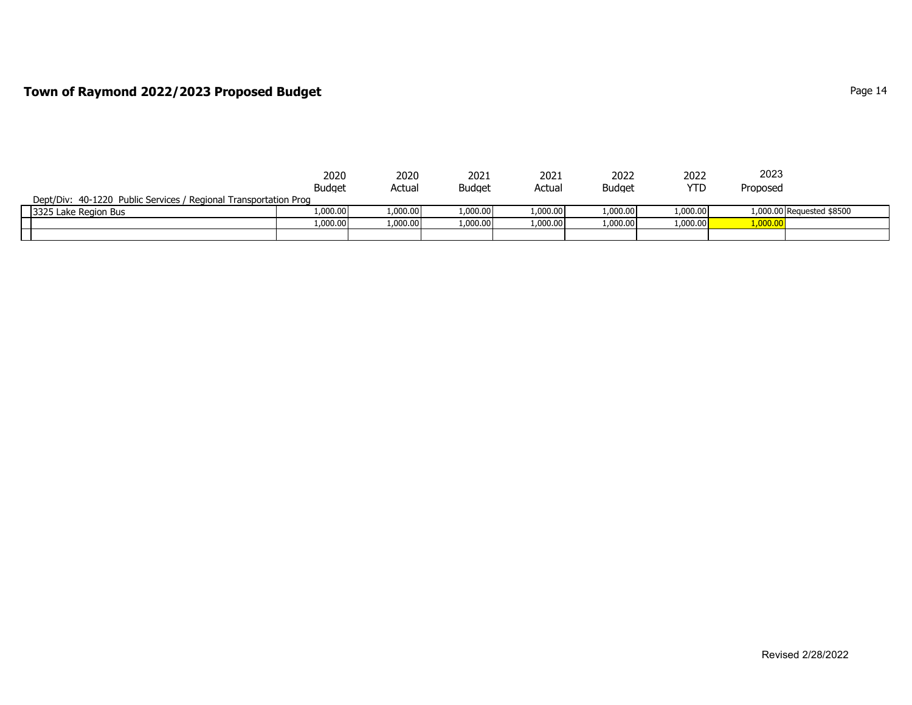### **Town of Raymond 2022/2023 Proposed Budget Page 14 Page 14 Page 14 Page 14**

|                                                                  | 2020          | 2020     | 2021     | 2021     | 2022          | 2022       | 2023     |                           |
|------------------------------------------------------------------|---------------|----------|----------|----------|---------------|------------|----------|---------------------------|
|                                                                  | <b>Budget</b> | Actual   | Budaet   | Actual   | <b>Budget</b> | <b>YTD</b> | Proposed |                           |
| Dept/Div: 40-1220 Public Services / Regional Transportation Prog |               |          |          |          |               |            |          |                           |
| 3325 Lake Region Bus                                             | 1.000.00      | 1,000.00 | 1,000.00 | 1000001  | 1.000.00      | 1.000.00   |          | 1,000.00 Requested \$8500 |
|                                                                  | 1,000.00      | 1,000.00 | 1,000.00 | 1,000.00 | 1,000.00      | 1,000.00   | 1,000.00 |                           |
|                                                                  |               |          |          |          |               |            |          |                           |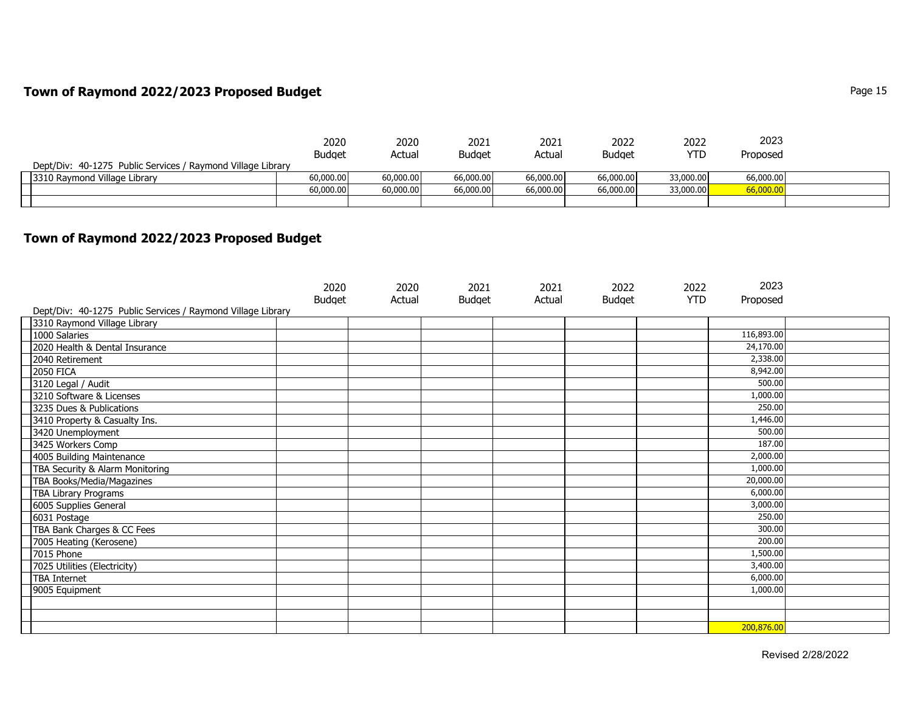### **Town of Raymond 2022/2023 Proposed Budget Page 15** Page 15

|                                                             | 2020          | 2020      | 2021          | 2021      | 2022          | 2022       | 2023      |  |
|-------------------------------------------------------------|---------------|-----------|---------------|-----------|---------------|------------|-----------|--|
|                                                             | <b>Budget</b> | Actual    | <b>Budget</b> | Actual    | <b>Budget</b> | <b>YTD</b> | Proposed  |  |
| Dept/Div: 40-1275 Public Services / Raymond Village Library |               |           |               |           |               |            |           |  |
| 3310 Raymond Village Library                                | 60,000,00     | 60,000.00 | 66,000.00     | 66,000.00 | 66,000.00     | 33,000,00  | 66,000.00 |  |
|                                                             | 60,000.00     | 60,000.00 | 66,000.00     | 66,000.00 | 66,000.00     | 33,000.00  | 00.000.06 |  |
|                                                             |               |           |               |           |               |            |           |  |

#### **Town of Raymond 2022/2023 Proposed Budget**

| Dept/Div: 40-1275 Public Services / Raymond Village Library | 2020<br><b>Budget</b> | 2020<br>Actual | 2021<br><b>Budget</b> | 2021<br>Actual | 2022<br><b>Budget</b> | 2022<br><b>YTD</b> | 2023<br>Proposed |  |
|-------------------------------------------------------------|-----------------------|----------------|-----------------------|----------------|-----------------------|--------------------|------------------|--|
| 3310 Raymond Village Library                                |                       |                |                       |                |                       |                    |                  |  |
| 1000 Salaries                                               |                       |                |                       |                |                       |                    | 116,893.00       |  |
| 2020 Health & Dental Insurance                              |                       |                |                       |                |                       |                    | 24,170.00        |  |
| 2040 Retirement                                             |                       |                |                       |                |                       |                    | 2,338.00         |  |
| <b>2050 FICA</b>                                            |                       |                |                       |                |                       |                    | 8,942.00         |  |
| 3120 Legal / Audit                                          |                       |                |                       |                |                       |                    | 500.00           |  |
| 3210 Software & Licenses                                    |                       |                |                       |                |                       |                    | 1,000.00         |  |
| 3235 Dues & Publications                                    |                       |                |                       |                |                       |                    | 250.00           |  |
| 3410 Property & Casualty Ins.                               |                       |                |                       |                |                       |                    | 1,446.00         |  |
| 3420 Unemployment                                           |                       |                |                       |                |                       |                    | 500.00           |  |
| 3425 Workers Comp                                           |                       |                |                       |                |                       |                    | 187.00           |  |
| 4005 Building Maintenance                                   |                       |                |                       |                |                       |                    | 2,000.00         |  |
| TBA Security & Alarm Monitoring                             |                       |                |                       |                |                       |                    | 1,000.00         |  |
| TBA Books/Media/Magazines                                   |                       |                |                       |                |                       |                    | 20,000.00        |  |
| <b>TBA Library Programs</b>                                 |                       |                |                       |                |                       |                    | 6,000.00         |  |
| 6005 Supplies General                                       |                       |                |                       |                |                       |                    | 3,000.00         |  |
| 6031 Postage                                                |                       |                |                       |                |                       |                    | 250.00           |  |
| TBA Bank Charges & CC Fees                                  |                       |                |                       |                |                       |                    | 300.00           |  |
| 7005 Heating (Kerosene)                                     |                       |                |                       |                |                       |                    | 200.00           |  |
| 7015 Phone                                                  |                       |                |                       |                |                       |                    | 1,500.00         |  |
| 7025 Utilities (Electricity)                                |                       |                |                       |                |                       |                    | 3,400.00         |  |
| <b>TBA Internet</b>                                         |                       |                |                       |                |                       |                    | 6,000.00         |  |
| 9005 Equipment                                              |                       |                |                       |                |                       |                    | 1,000.00         |  |
|                                                             |                       |                |                       |                |                       |                    |                  |  |
|                                                             |                       |                |                       |                |                       |                    |                  |  |
|                                                             |                       |                |                       |                |                       |                    | 200,876.00       |  |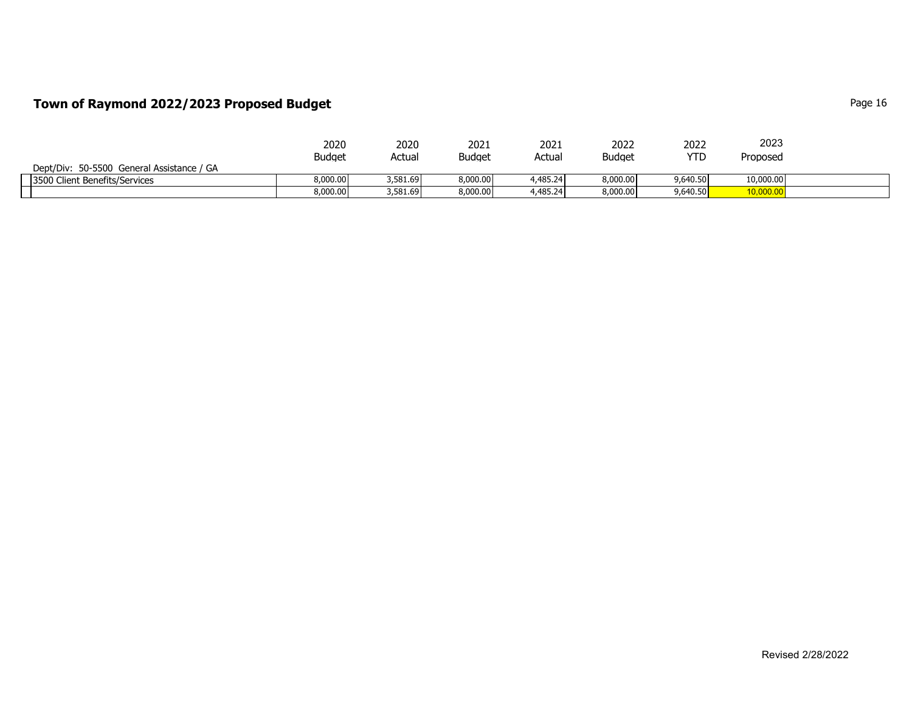## **Town of Raymond 2022/2023 Proposed Budget Page 16** Page 16

|                                           | 2020          | 2020     | 2021          | 2021     | 2022          | 2022       | 2023      |  |
|-------------------------------------------|---------------|----------|---------------|----------|---------------|------------|-----------|--|
|                                           | <b>Budget</b> | Actual   | <b>Budget</b> | Actual   | <b>Budget</b> | <b>YTD</b> | Proposed  |  |
| Dept/Div: 50-5500 General Assistance / GA |               |          |               |          |               |            |           |  |
| 3500 Client Benefits/Services             | 3.000.00      | 3,581.69 | 8,000,00      | 4,485.24 | 8,000.00      | 9,640.50   | 10,000.00 |  |
|                                           | 8,000.00      | 3,581.69 | 8,000.00      | 4,485.24 | 8,000.00      | 9,640.50   | 10,000.00 |  |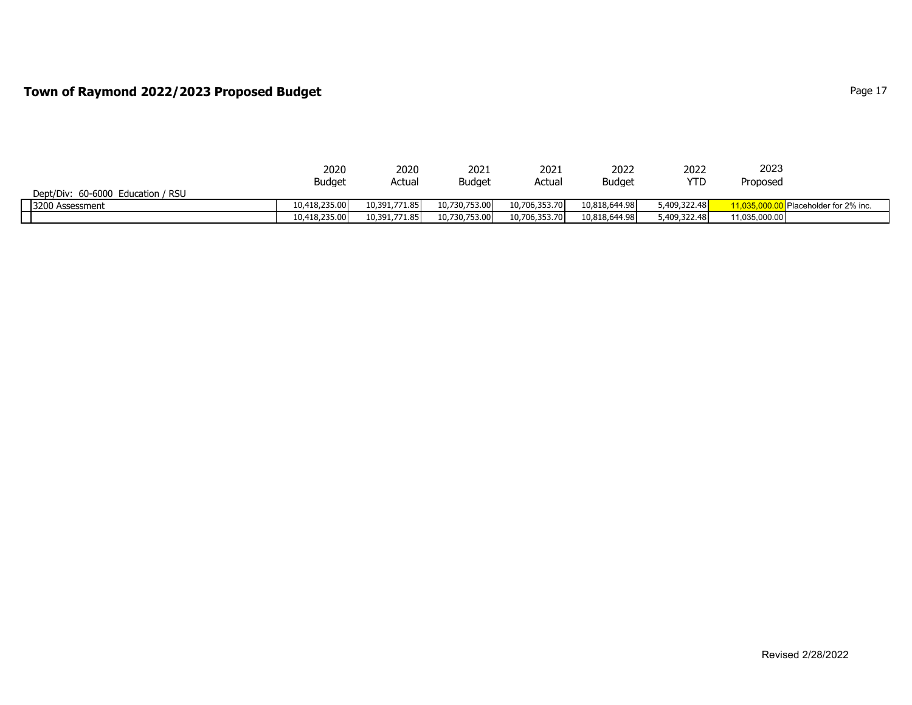### **Town of Raymond 2022/2023 Proposed Budget Page 17** Page 17

|                                   | 2020          | 2020          | 2021          | 2021          | 2022          | 2022         | 2023          |                                  |
|-----------------------------------|---------------|---------------|---------------|---------------|---------------|--------------|---------------|----------------------------------|
|                                   | <b>Budget</b> | Actual        | <b>Budget</b> | Actual        | <b>Budget</b> | YTD          | Proposea      |                                  |
| Dept/Div: 60-6000 Education / RSU |               |               |               |               |               |              |               |                                  |
| 3200 Assessment                   | 10,418,235,00 | 10,391,771.85 | 10,730,753,00 | 10,706,353,70 | 10,818,644.98 | 5,409,322.48 |               | <b>I</b> Placeholder for 2% inc. |
|                                   | 10,418,235.00 | 10,391,771.85 | 10,730,753.00 | 10,706,353.70 | 10,818,644.98 | 5,409,322.48 | 11,035,000.00 |                                  |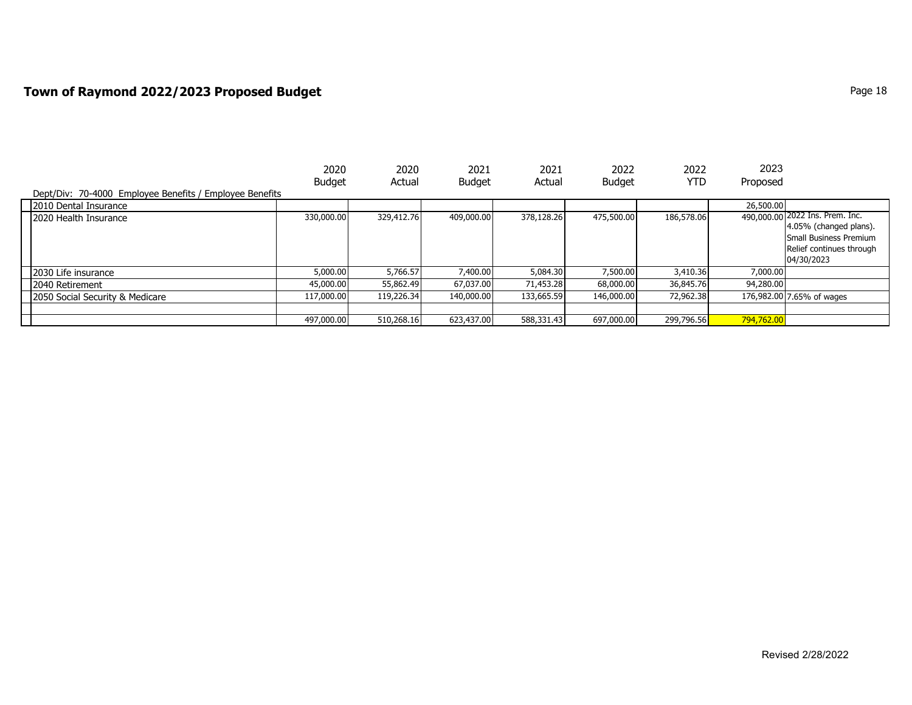## **Town of Raymond 2022/2023 Proposed Budget Page 18** Page 18

|                                                         | 2020          | 2020       | 2021          | 2021       | 2022          | 2022       | 2023       |                                                                                                                               |
|---------------------------------------------------------|---------------|------------|---------------|------------|---------------|------------|------------|-------------------------------------------------------------------------------------------------------------------------------|
| Dept/Div: 70-4000 Employee Benefits / Employee Benefits | <b>Budget</b> | Actual     | <b>Budget</b> | Actual     | <b>Budget</b> | YTD        | Proposed   |                                                                                                                               |
| 2010 Dental Insurance                                   |               |            |               |            |               |            | 26,500.00  |                                                                                                                               |
| 2020 Health Insurance                                   | 330,000.00    | 329,412.76 | 409,000.00    | 378,128,26 | 475,500.00    | 186,578.06 |            | 490,000.00 2022 Ins. Prem. Inc.<br>4.05% (changed plans).<br>Small Business Premium<br>Relief continues through<br>04/30/2023 |
| 2030 Life insurance                                     | 5,000.00      | 5,766.57   | 7,400.00      | 5,084.30   | 7,500.00      | 3,410.36   | 7,000.00   |                                                                                                                               |
| 2040 Retirement                                         | 45,000.00     | 55,862.49  | 67,037.00     | 71,453.28  | 68,000.00     | 36,845.76  | 94,280.00  |                                                                                                                               |
| 2050 Social Security & Medicare                         | 117,000,00    | 119,226.34 | 140,000,00    | 133,665.59 | 146,000.00    | 72,962.38  |            | 176,982.00 7.65% of wages                                                                                                     |
|                                                         |               |            |               |            |               |            |            |                                                                                                                               |
|                                                         | 497,000.00    | 510,268.16 | 623,437.00    | 588,331.43 | 697,000.00    | 299,796.56 | 794,762.00 |                                                                                                                               |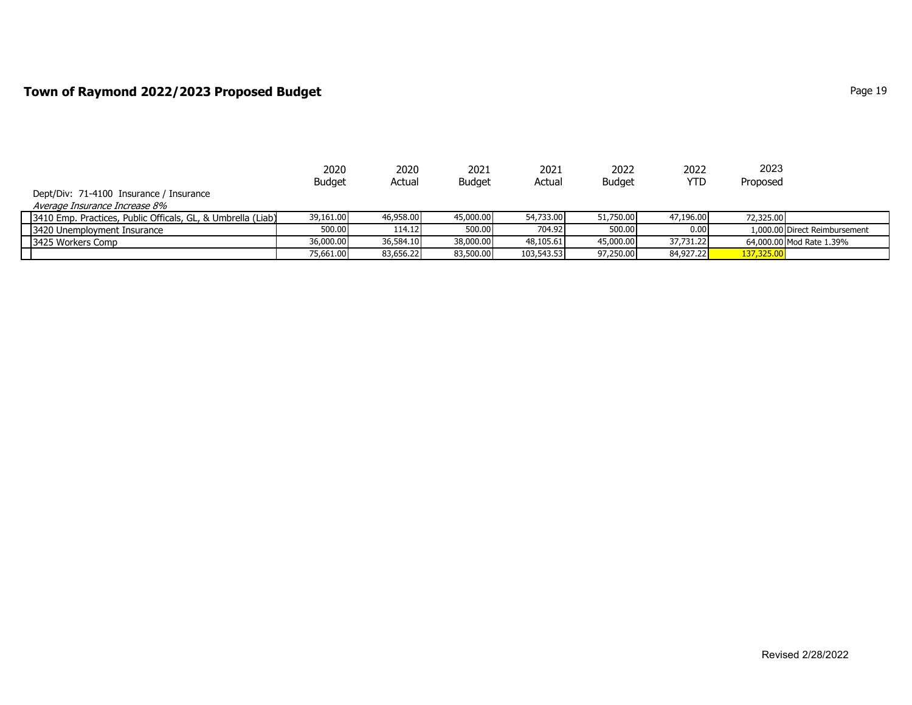### **Town of Raymond 2022/2023 Proposed Budget Page 19** Page 19

|                                                               | 2020          | 2020      | 2021          | 2021       | 2022          | 2022       | 2023       |                               |
|---------------------------------------------------------------|---------------|-----------|---------------|------------|---------------|------------|------------|-------------------------------|
|                                                               | <b>Budget</b> | Actual    | <b>Budget</b> | Actual     | <b>Budget</b> | <b>YTD</b> | Proposed   |                               |
| Dept/Div: 71-4100 Insurance / Insurance                       |               |           |               |            |               |            |            |                               |
| Average Insurance Increase 8%                                 |               |           |               |            |               |            |            |                               |
| [3410 Emp. Practices, Public Officals, GL, & Umbrella (Liab)] | 39,161.00     | 46,958,00 | 45,000.00     | 54,733.00  | 51,750.00     | 47,196.00  | 72,325,00  |                               |
| 3420 Unemployment Insurance                                   | 500.00        | 114.12    | 500.00        | 704.92     | 500.00        | 0.00       |            | 1,000.00 Direct Reimbursement |
| 3425 Workers Comp                                             | 36,000.00     | 36,584.10 | 38,000.00     | 48,105.61  | 45,000.00     | 37,731.22  |            | 64,000,00 Mod Rate 1.39%      |
|                                                               | 75,661.00     | 83,656.22 | 83,500.00     | 103,543.53 | 97,250.00     | 84,927.22  | 137,325.00 |                               |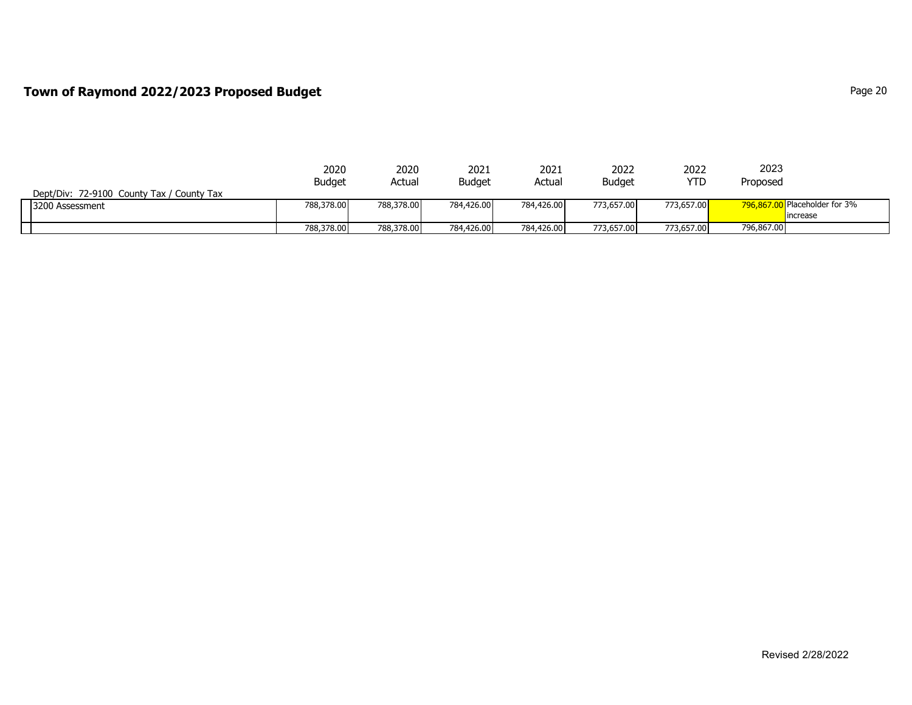#### **Town of Raymond 2022/2023 Proposed Budget Page 20 Page 20 Page 20**

|                                           | 2020          | 2020       | 2021          | 2021       | 2022          | 2022       | 2023       |                               |
|-------------------------------------------|---------------|------------|---------------|------------|---------------|------------|------------|-------------------------------|
|                                           | <b>Budget</b> | Actual     | <b>Budget</b> | Actual     | <b>Budget</b> | YTD        | Proposed   |                               |
| Dept/Div: 72-9100 County Tax / County Tax |               |            |               |            |               |            |            |                               |
| 3200 Assessment                           | 788,378.00    | 788,378.00 | 784,426.00    | 784,426.00 | 773,657.00    | 773,657.00 |            | 796.867.00 Placeholder for 3% |
|                                           |               |            |               |            |               |            |            | lincrease                     |
|                                           | 788,378,00    | 788,378.00 | 784,426.00    | 784,426.00 | 773,657.00    | 773,657.00 | 796,867.00 |                               |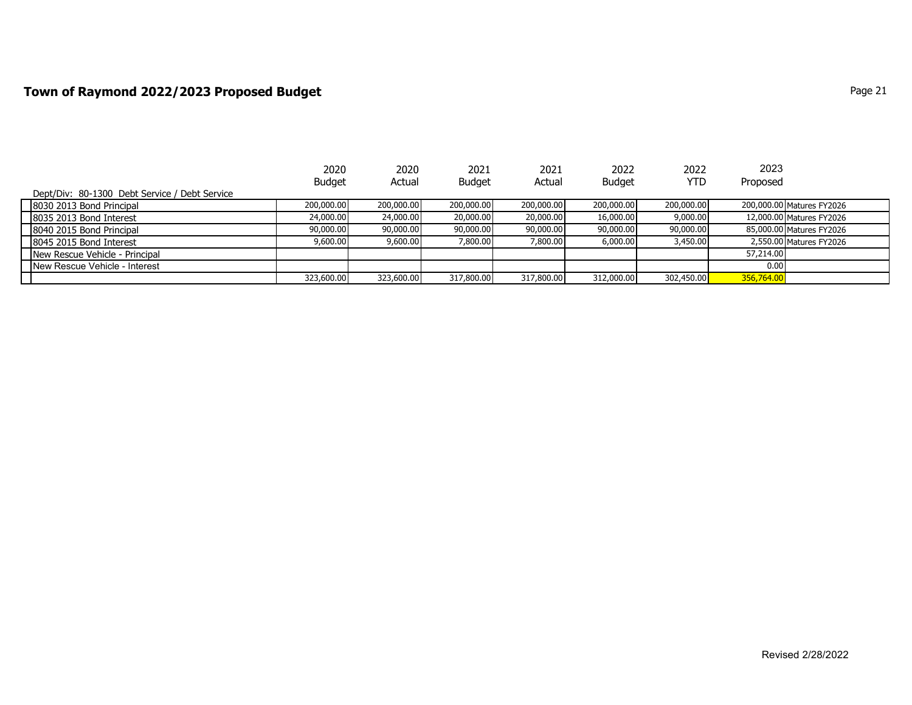### **Town of Raymond 2022/2023 Proposed Budget Page 21 Page 21**

|                                               | 2020          | 2020       | 2021          | 2021       | 2022          | 2022       | 2023       |                           |
|-----------------------------------------------|---------------|------------|---------------|------------|---------------|------------|------------|---------------------------|
|                                               | <b>Budget</b> | Actual     | <b>Budget</b> | Actual     | <b>Budget</b> | <b>YTD</b> | Proposed   |                           |
| Dept/Div: 80-1300 Debt Service / Debt Service |               |            |               |            |               |            |            |                           |
| 8030 2013 Bond Principal                      | 200,000,00    | 200,000.00 | 200,000.00    | 200,000.00 | 200,000.00    | 200,000.00 |            | 200,000.00 Matures FY2026 |
| 8035 2013 Bond Interest                       | 24,000.00     | 24,000.00  | 20,000.00     | 20,000.00  | 16,000.00     | 9,000.00   |            | 12,000.00 Matures FY2026  |
| 8040 2015 Bond Principal                      | 90,000.00     | 90,000.00  | 90,000.00     | 90,000.00  | 90,000.00     | 90,000.00  |            | 85,000.00 Matures FY2026  |
| 8045 2015 Bond Interest                       | 9,600.00      | 9,600.00   | 7,800.00      | 7,800.00   | 6,000.00      | 3,450.00   |            | 2,550.00 Matures FY2026   |
| New Rescue Vehicle - Principal                |               |            |               |            |               |            | 57,214.00  |                           |
| New Rescue Vehicle - Interest                 |               |            |               |            |               |            | 0.00       |                           |
|                                               | 323,600.00    | 323,600.00 | 317,800.00    | 317,800.00 | 312,000.00    | 302,450.00 | 356,764.00 |                           |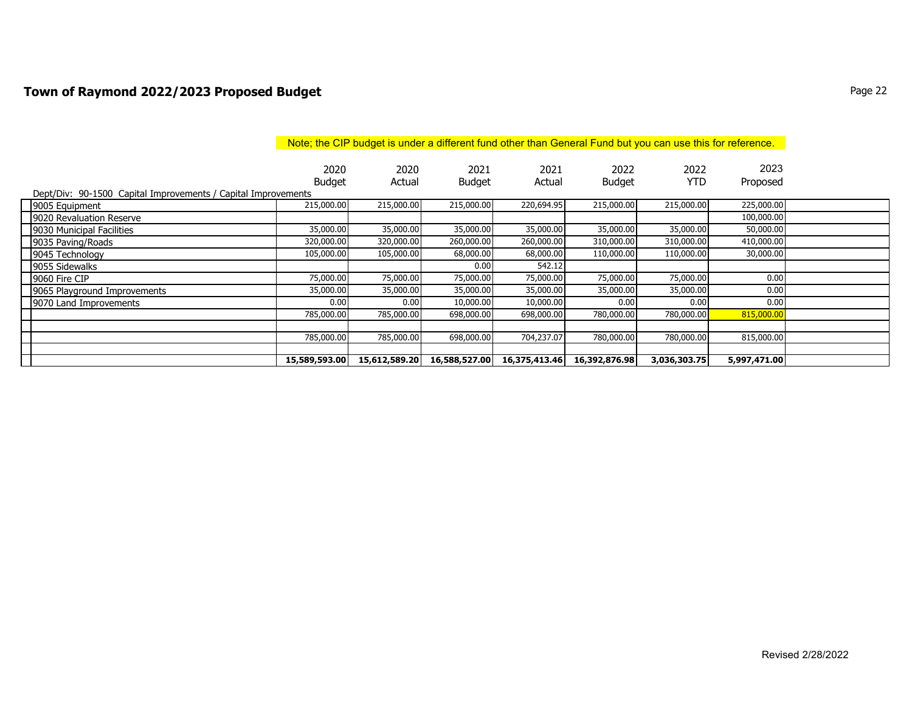### **Town of Raymond 2022/2023 Proposed Budget Page 22** Proposed Budget **Page 22**

|                                                               | Note; the CIP budget is under a different fund other than General Fund but you can use this for reference. |                |                       |                |                       |                    |                  |  |  |  |
|---------------------------------------------------------------|------------------------------------------------------------------------------------------------------------|----------------|-----------------------|----------------|-----------------------|--------------------|------------------|--|--|--|
|                                                               | 2020<br><b>Budget</b>                                                                                      | 2020<br>Actual | 2021<br><b>Budget</b> | 2021<br>Actual | 2022<br><b>Budget</b> | 2022<br><b>YTD</b> | 2023<br>Proposed |  |  |  |
| Dept/Div: 90-1500 Capital Improvements / Capital Improvements | 215,000.00                                                                                                 | 215,000.00     | 215,000.00            | 220,694.95     | 215,000.00            | 215,000.00         | 225,000.00       |  |  |  |
| 9005 Equipment<br>9020 Revaluation Reserve                    |                                                                                                            |                |                       |                |                       |                    | 100,000.00       |  |  |  |
| 9030 Municipal Facilities                                     | 35,000.00                                                                                                  | 35,000.00      | 35,000.00             | 35,000.00      | 35,000.00             | 35,000.00          | 50,000.00        |  |  |  |
| 9035 Paving/Roads                                             | 320,000.00                                                                                                 | 320,000.00     | 260,000.00            | 260,000.00     | 310,000.00            | 310,000.00         | 410,000.00       |  |  |  |
| 9045 Technology                                               | 105,000.00                                                                                                 | 105,000.00     | 68,000.00             | 68,000.00      | 110,000.00            | 110,000.00         | 30,000.00        |  |  |  |
| 9055 Sidewalks                                                |                                                                                                            |                | 0.00                  | 542.12         |                       |                    |                  |  |  |  |
| 9060 Fire CIP                                                 | 75,000.00                                                                                                  | 75,000.00      | 75,000.00             | 75,000.00      | 75,000.00             | 75,000.00          | 0.00             |  |  |  |
| 9065 Playground Improvements                                  | 35,000.00                                                                                                  | 35,000.00      | 35,000.00             | 35,000.00      | 35,000.00             | 35,000.00          | 0.00             |  |  |  |
| 9070 Land Improvements                                        | 0.00                                                                                                       | 0.00           | 10,000.00             | 10,000.00      | 0.00                  | 0.00               | 0.00             |  |  |  |
|                                                               | 785,000.00                                                                                                 | 785,000.00     | 698,000.00            | 698,000.00     | 780,000.00            | 780,000.00         | 815,000.00       |  |  |  |
|                                                               |                                                                                                            |                |                       |                |                       |                    |                  |  |  |  |
|                                                               | 785,000.00                                                                                                 | 785,000.00     | 698,000.00            | 704,237.07     | 780,000.00            | 780,000.00         | 815,000.00       |  |  |  |
|                                                               |                                                                                                            |                |                       |                |                       |                    |                  |  |  |  |
|                                                               | 15,589,593.00                                                                                              | 15,612,589.20  | 16,588,527.00         | 16,375,413.46  | 16,392,876.98         | 3,036,303.75       | 5,997,471.00     |  |  |  |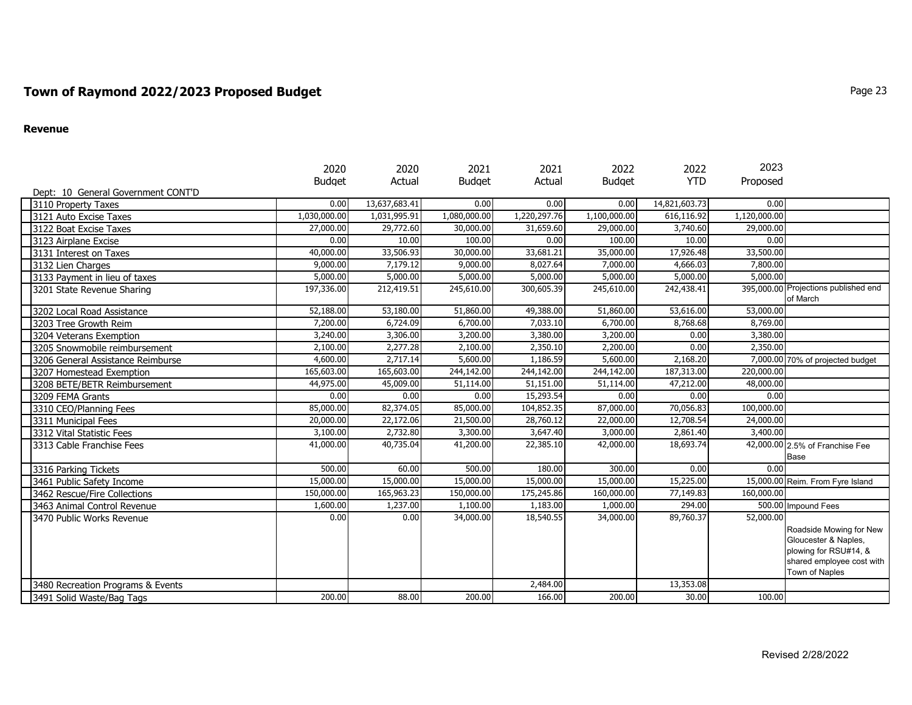## **Town of Raymond 2022/2023 Proposed Budget Page 23** Proposed Budget **Page 23**

#### **Revenue**

|                                    | 2020          | 2020          | 2021          | 2021         | 2022          | 2022          | 2023         |                                      |
|------------------------------------|---------------|---------------|---------------|--------------|---------------|---------------|--------------|--------------------------------------|
|                                    | <b>Budget</b> | Actual        | <b>Budget</b> | Actual       | <b>Budget</b> | <b>YTD</b>    | Proposed     |                                      |
| Dept: 10 General Government CONT'D |               |               |               |              |               |               |              |                                      |
| 3110 Property Taxes                | 0.00          | 13,637,683.41 | 0.00          | 0.00         | 0.00          | 14,821,603.73 | 0.00         |                                      |
| 3121 Auto Excise Taxes             | 1,030,000.00  | 1,031,995.91  | 1,080,000.00  | 1,220,297.76 | 1,100,000.00  | 616,116.92    | 1,120,000.00 |                                      |
| 3122 Boat Excise Taxes             | 27,000.00     | 29,772.60     | 30,000.00     | 31,659.60    | 29,000.00     | 3,740.60      | 29,000.00    |                                      |
| 3123 Airplane Excise               | 0.00          | 10.00         | 100.00        | 0.00         | 100.00        | 10.00         | 0.00         |                                      |
| 3131 Interest on Taxes             | 40,000.00     | 33,506.93     | 30,000.00     | 33,681.21    | 35,000.00     | 17,926.48     | 33,500.00    |                                      |
| 3132 Lien Charges                  | 9,000.00      | 7,179.12      | 9,000.00      | 8,027.64     | 7,000.00      | 4,666.03      | 7,800.00     |                                      |
| 3133 Payment in lieu of taxes      | 5,000.00      | 5,000.00      | 5,000.00      | 5,000.00     | 5,000.00      | 5,000.00      | 5,000.00     |                                      |
| 3201 State Revenue Sharing         | 197,336.00    | 212,419.51    | 245,610.00    | 300,605.39   | 245,610.00    | 242,438.41    |              | 395,000.00 Projections published end |
|                                    |               |               |               |              |               |               |              | of March                             |
| 3202 Local Road Assistance         | 52,188.00     | 53,180.00     | 51,860.00     | 49,388.00    | 51,860.00     | 53,616.00     | 53,000.00    |                                      |
| 3203 Tree Growth Reim              | 7,200.00      | 6,724.09      | 6,700.00      | 7,033.10     | 6,700.00      | 8,768.68      | 8,769,00     |                                      |
| 3204 Veterans Exemption            | 3,240.00      | 3,306.00      | 3,200.00      | 3,380.00     | 3,200.00      | 0.00          | 3,380.00     |                                      |
| 3205 Snowmobile reimbursement      | 2,100.00      | 2,277.28      | 2,100.00      | 2,350.10     | 2,200.00      | 0.00          | 2,350.00     |                                      |
| 3206 General Assistance Reimburse  | 4,600.00      | 2,717.14      | 5,600.00      | 1,186.59     | 5,600.00      | 2,168.20      |              | 7,000.00 70% of projected budget     |
| 3207 Homestead Exemption           | 165,603.00    | 165,603.00    | 244,142.00    | 244,142.00   | 244,142.00    | 187,313.00    | 220,000.00   |                                      |
| 3208 BETE/BETR Reimbursement       | 44,975.00     | 45,009.00     | 51,114.00     | 51,151.00    | 51,114.00     | 47,212.00     | 48,000.00    |                                      |
| 3209 FEMA Grants                   | 0.00          | 0.00          | 0.00          | 15,293.54    | 0.00          | 0.00          | 0.00         |                                      |
| 3310 CEO/Planning Fees             | 85,000.00     | 82,374.05     | 85,000.00     | 104,852.35   | 87,000.00     | 70,056.83     | 100,000.00   |                                      |
| 3311 Municipal Fees                | 20,000.00     | 22,172.06     | 21,500.00     | 28,760.12    | 22,000.00     | 12,708.54     | 24,000.00    |                                      |
| 3312 Vital Statistic Fees          | 3,100.00      | 2,732.80      | 3,300.00      | 3,647.40     | 3,000.00      | 2,861.40      | 3,400.00     |                                      |
| 3313 Cable Franchise Fees          | 41,000.00     | 40,735.04     | 41,200.00     | 22,385.10    | 42,000.00     | 18,693.74     |              | 42,000.00 2.5% of Franchise Fee      |
|                                    |               |               |               |              |               |               |              | Base                                 |
| 3316 Parking Tickets               | 500.00        | 60.00         | 500.00        | 180.00       | 300.00        | 0.00          | 0.00         |                                      |
| 3461 Public Safety Income          | 15,000.00     | 15,000.00     | 15,000.00     | 15,000.00    | 15,000.00     | 15,225.00     |              | 15,000.00 Reim. From Fyre Island     |
| 3462 Rescue/Fire Collections       | 150,000.00    | 165,963.23    | 150,000.00    | 175,245.86   | 160,000.00    | 77,149.83     | 160,000.00   |                                      |
| 3463 Animal Control Revenue        | 1,600.00      | 1,237.00      | 1,100.00      | 1,183.00     | 1,000.00      | 294.00        |              | 500.00 Impound Fees                  |
| 3470 Public Works Revenue          | 0.00          | 0.00          | 34,000.00     | 18,540.55    | 34,000.00     | 89,760.37     | 52,000.00    |                                      |
|                                    |               |               |               |              |               |               |              | Roadside Mowing for New              |
|                                    |               |               |               |              |               |               |              | Gloucester & Naples,                 |
|                                    |               |               |               |              |               |               |              | plowing for RSU#14, &                |
|                                    |               |               |               |              |               |               |              | shared employee cost with            |
|                                    |               |               |               |              |               |               |              | Town of Naples                       |
| 3480 Recreation Programs & Events  |               |               |               | 2,484.00     |               | 13,353.08     |              |                                      |
| 3491 Solid Waste/Bag Tags          | 200.00        | 88.00         | 200.00        | 166.00       | 200.00        | 30.00         | 100.00       |                                      |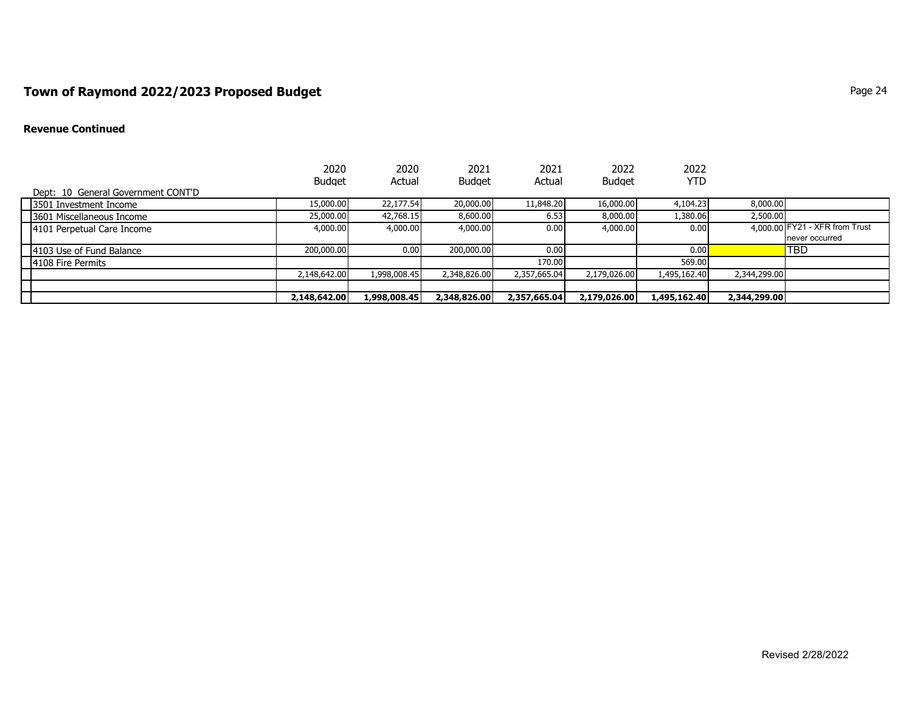## **Town of Raymond 2022/2023 Proposed Budget Page 24 Page 24 Page 24 Page 24**

#### **Revenue Continued**

|                                    | 2020<br><b>Budget</b> | 2020<br>Actual | 2021<br><b>Budget</b> | 2021<br>Actual | 2022<br><b>Budget</b> | 2022<br>YTD  |              |                                |
|------------------------------------|-----------------------|----------------|-----------------------|----------------|-----------------------|--------------|--------------|--------------------------------|
| Dept: 10 General Government CONT'D |                       |                |                       |                |                       |              |              |                                |
| 13501 Investment Income            | 15,000.00             | 22,177.54      | 20,000.00             | 11,848.20      | 16,000.00             | 4,104.23     | 8,000.00     |                                |
| 13601 Miscellaneous Income         | 25,000,00             | 42,768.15      | 8,600.00              | 6.53           | 8,000,00              | 1,380.06     | 2,500.00     |                                |
| 4101 Perpetual Care Income         | 4,000.00              | 4,000.00       | 4,000.00              | 0.00           | 4,000.00              | 0.00         |              | 4,000.00 FY21 - XFR from Trust |
|                                    |                       |                |                       |                |                       |              |              | never occurred                 |
| 4103 Use of Fund Balance           | 200,000.00            | 0.00           | 200,000.00            | 0.00           |                       | 0.00         |              | <b>TBD</b>                     |
| 4108 Fire Permits                  |                       |                |                       | 170.00         |                       | 569.00       |              |                                |
|                                    | 2,148,642.00          | 1,998,008.45   | 2,348,826.00          | 2,357,665.04   | 2,179,026.00          | 1,495,162.40 | 2,344,299.00 |                                |
|                                    |                       |                |                       |                |                       |              |              |                                |
|                                    | 2,148,642.00          | 1,998,008.45   | 2,348,826.00          | 2,357,665.04   | 2,179,026.00          | 1,495,162.40 | 2,344,299.00 |                                |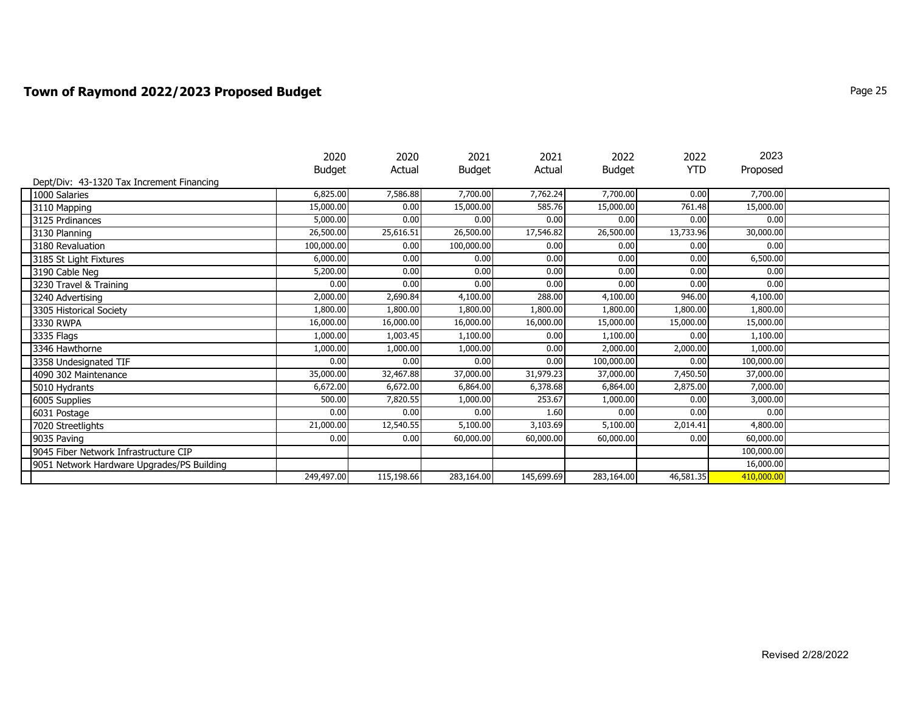### **Town of Raymond 2022/2023 Proposed Budget** Page 25

|                                            | 2020          | 2020       | 2021          | 2021       | 2022       | 2022       | 2023       |  |
|--------------------------------------------|---------------|------------|---------------|------------|------------|------------|------------|--|
|                                            | <b>Budget</b> | Actual     | <b>Budget</b> | Actual     | Budget     | <b>YTD</b> | Proposed   |  |
| Dept/Div: 43-1320 Tax Increment Financing  |               |            |               |            |            |            |            |  |
| 1000 Salaries                              | 6,825.00      | 7,586.88   | 7,700.00      | 7,762.24   | 7,700.00   | 0.00       | 7,700.00   |  |
| 3110 Mapping                               | 15,000.00     | 0.00       | 15,000.00     | 585.76     | 15,000.00  | 761.48     | 15,000.00  |  |
| 3125 Prdinances                            | 5,000.00      | 0.00       | 0.00          | 0.00       | 0.00       | 0.00       | 0.00       |  |
| 3130 Planning                              | 26,500.00     | 25,616.51  | 26,500.00     | 17,546.82  | 26,500.00  | 13,733.96  | 30,000.00  |  |
| 3180 Revaluation                           | 100,000.00    | 0.00       | 100,000.00    | 0.00       | 0.00       | 0.00       | 0.00       |  |
| 3185 St Light Fixtures                     | 6,000.00      | 0.00       | 0.00          | 0.00       | 0.00       | 0.00       | 6,500.00   |  |
| 3190 Cable Neg                             | 5,200.00      | 0.00       | 0.00          | 0.00       | 0.00       | 0.00       | 0.00       |  |
| 3230 Travel & Training                     | 0.00          | 0.00       | 0.00          | 0.00       | 0.00       | 0.00       | 0.00       |  |
| 3240 Advertising                           | 2,000.00      | 2,690.84   | 4,100.00      | 288.00     | 4,100.00   | 946.00     | 4,100.00   |  |
| 3305 Historical Society                    | 1,800.00      | 1,800.00   | 1,800.00      | 1,800.00   | 1,800.00   | 1,800.00   | 1,800.00   |  |
| 3330 RWPA                                  | 16,000.00     | 16,000.00  | 16,000.00     | 16,000.00  | 15,000.00  | 15,000.00  | 15,000.00  |  |
| 3335 Flags                                 | 1,000.00      | 1,003.45   | 1,100.00      | 0.00       | 1,100.00   | 0.00       | 1,100.00   |  |
| 3346 Hawthorne                             | 1,000.00      | 1,000.00   | 1,000.00      | 0.00       | 2,000.00   | 2,000.00   | 1,000.00   |  |
| 3358 Undesignated TIF                      | 0.00          | 0.00       | 0.00          | 0.00       | 100,000.00 | 0.00       | 100,000.00 |  |
| 4090 302 Maintenance                       | 35,000.00     | 32,467.88  | 37,000.00     | 31,979.23  | 37,000.00  | 7,450.50   | 37,000.00  |  |
| 5010 Hydrants                              | 6,672.00      | 6,672.00   | 6,864.00      | 6,378.68   | 6,864.00   | 2,875.00   | 7,000.00   |  |
| 6005 Supplies                              | 500.00        | 7,820.55   | 1,000.00      | 253.67     | 1,000.00   | 0.00       | 3,000.00   |  |
| 6031 Postage                               | 0.00          | 0.00       | 0.00          | 1.60       | 0.00       | 0.00       | 0.00       |  |
| 7020 Streetlights                          | 21,000.00     | 12,540.55  | 5,100.00      | 3,103.69   | 5,100.00   | 2,014.41   | 4,800.00   |  |
| 9035 Paving                                | 0.00          | 0.00       | 60,000.00     | 60,000.00  | 60,000.00  | 0.00       | 60,000.00  |  |
| 9045 Fiber Network Infrastructure CIP      |               |            |               |            |            |            | 100,000.00 |  |
| 9051 Network Hardware Upgrades/PS Building |               |            |               |            |            |            | 16,000.00  |  |
|                                            | 249,497.00    | 115,198.66 | 283,164.00    | 145,699.69 | 283,164.00 | 46,581.35  | 410,000.00 |  |